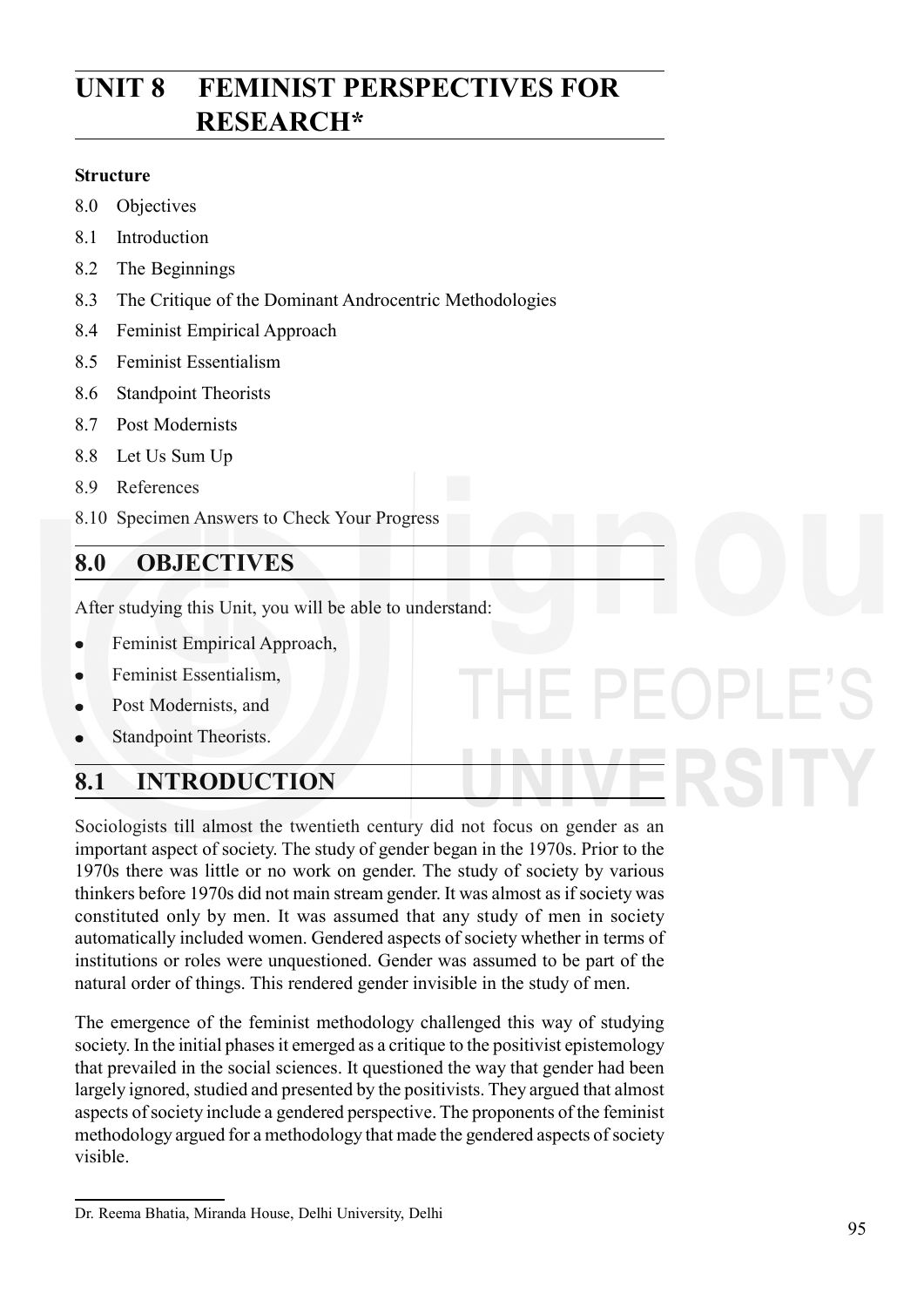# **UNIT 8 FEMINIST PERSPECTIVES FOR RESEARCH\***

#### **Structure**

- 8.0 Objectives
- 8.1 Introduction
- 8.2 The Beginnings
- 8.3 The Critique of the Dominant Androcentric Methodologies
- 8.4 Feminist Empirical Approach
- 8.5 Feminist Essentialism
- 8.6 Standpoint Theorists
- 8.7 Post Modernists
- 8.8 Let Us Sum Up
- 8.9 References
- 8.10 Specimen Answers to Check Your Progress

## **8.0 OBJECTIVES**

After studying this Unit, you will be able to understand:

- Feminist Empirical Approach,  $\bullet$
- Feminist Essentialism,  $\bullet$
- Post Modernists, and  $\bullet$
- Standpoint Theorists.

## **8.1 INTRODUCTION**

Sociologists till almost the twentieth century did not focus on gender as an important aspect of society. The study of gender began in the 1970s. Prior to the 1970s there was little or no work on gender. The study of society by various thinkers before 1970s did not main stream gender. It was almost as if society was constituted only by men. It was assumed that any study of men in society automatically included women. Gendered aspects of society whether in terms of institutions or roles were unquestioned. Gender was assumed to be part of the natural order of things. This rendered gender invisible in the study of men.

The emergence of the feminist methodology challenged this way of studying society. In the initial phases it emerged as a critique to the positivist epistemology that prevailed in the social sciences. It questioned the way that gender had been largely ignored, studied and presented by the positivists. They argued that almost aspects of society include a gendered perspective. The proponents of the feminist methodology argued for a methodology that made the gendered aspects of society visible.

Dr. Reema Bhatia, Miranda House, Delhi University, Delhi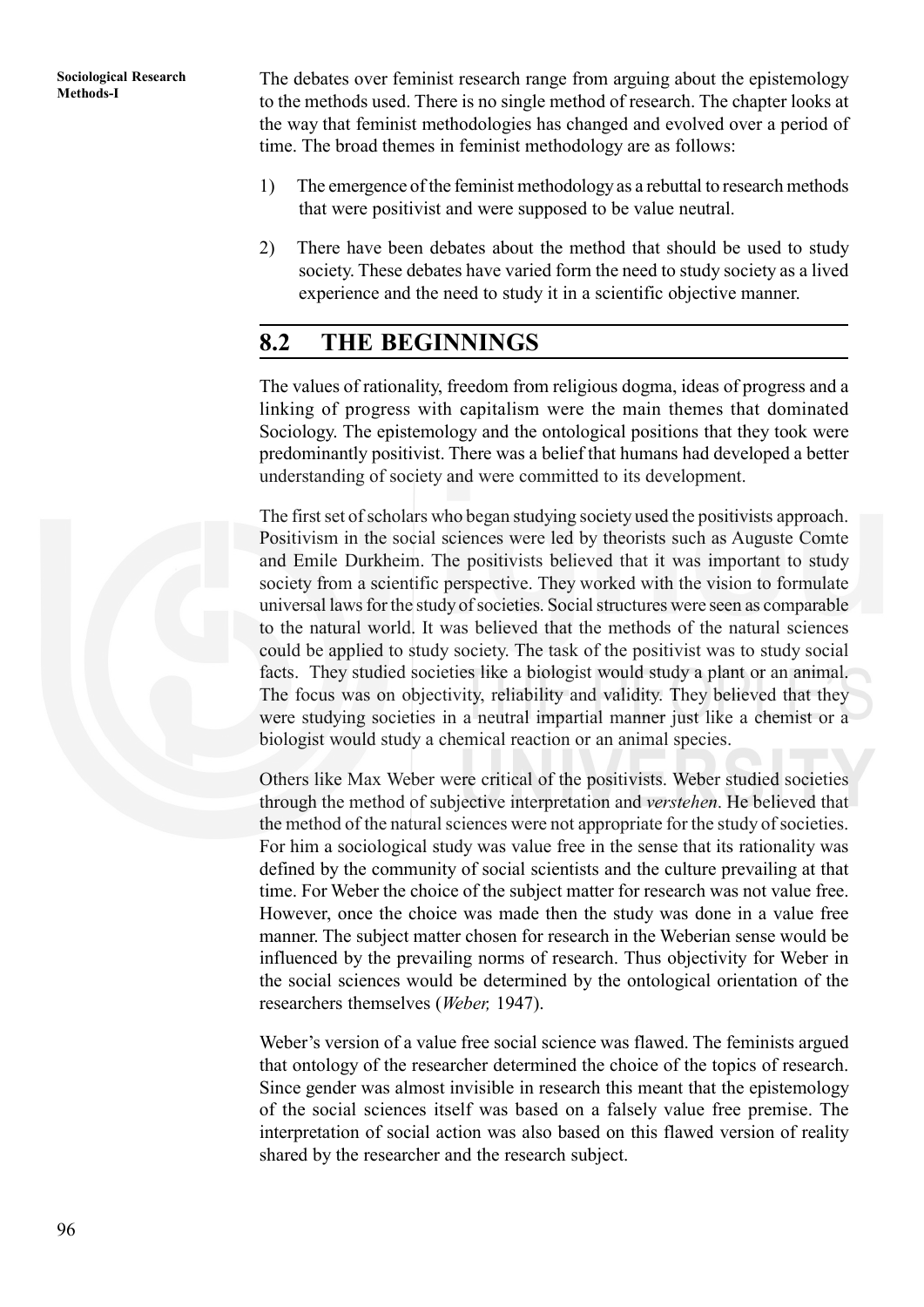**Methods-I** The debates over feminist research range from arguing about the epistemology to the methods used. There is no single method of research. The chapter looks at the way that feminist methodologies has changed and evolved over a period of time. The broad themes in feminist methodology are as follows:

- 1) The emergence of the feminist methodology as a rebuttal to research methods that were positivist and were supposed to be value neutral.
- 2) There have been debates about the method that should be used to study society. These debates have varied form the need to study society as a lived experience and the need to study it in a scientific objective manner.

## **8.2 THE BEGINNINGS**

The values of rationality, freedom from religious dogma, ideas of progress and a linking of progress with capitalism were the main themes that dominated Sociology. The epistemology and the ontological positions that they took were predominantly positivist. There was a belief that humans had developed a better understanding of society and were committed to its development.

The first set of scholars who began studying society used the positivists approach. Positivism in the social sciences were led by theorists such as Auguste Comte and Emile Durkheim. The positivists believed that it was important to study society from a scientific perspective. They worked with the vision to formulate universal laws for the study of societies. Social structures were seen as comparable to the natural world. It was believed that the methods of the natural sciences could be applied to study society. The task of the positivist was to study social facts. They studied societies like a biologist would study a plant or an animal. The focus was on objectivity, reliability and validity. They believed that they were studying societies in a neutral impartial manner just like a chemist or a biologist would study a chemical reaction or an animal species.

Others like Max Weber were critical of the positivists. Weber studied societies through the method of subjective interpretation and *verstehen*. He believed that the method of the natural sciences were not appropriate for the study of societies. For him a sociological study was value free in the sense that its rationality was defined by the community of social scientists and the culture prevailing at that time. For Weber the choice of the subject matter for research was not value free. However, once the choice was made then the study was done in a value free manner. The subject matter chosen for research in the Weberian sense would be influenced by the prevailing norms of research. Thus objectivity for Weber in the social sciences would be determined by the ontological orientation of the researchers themselves (*Weber,* 1947).

Weber's version of a value free social science was flawed. The feminists argued that ontology of the researcher determined the choice of the topics of research. Since gender was almost invisible in research this meant that the epistemology of the social sciences itself was based on a falsely value free premise. The interpretation of social action was also based on this flawed version of reality shared by the researcher and the research subject.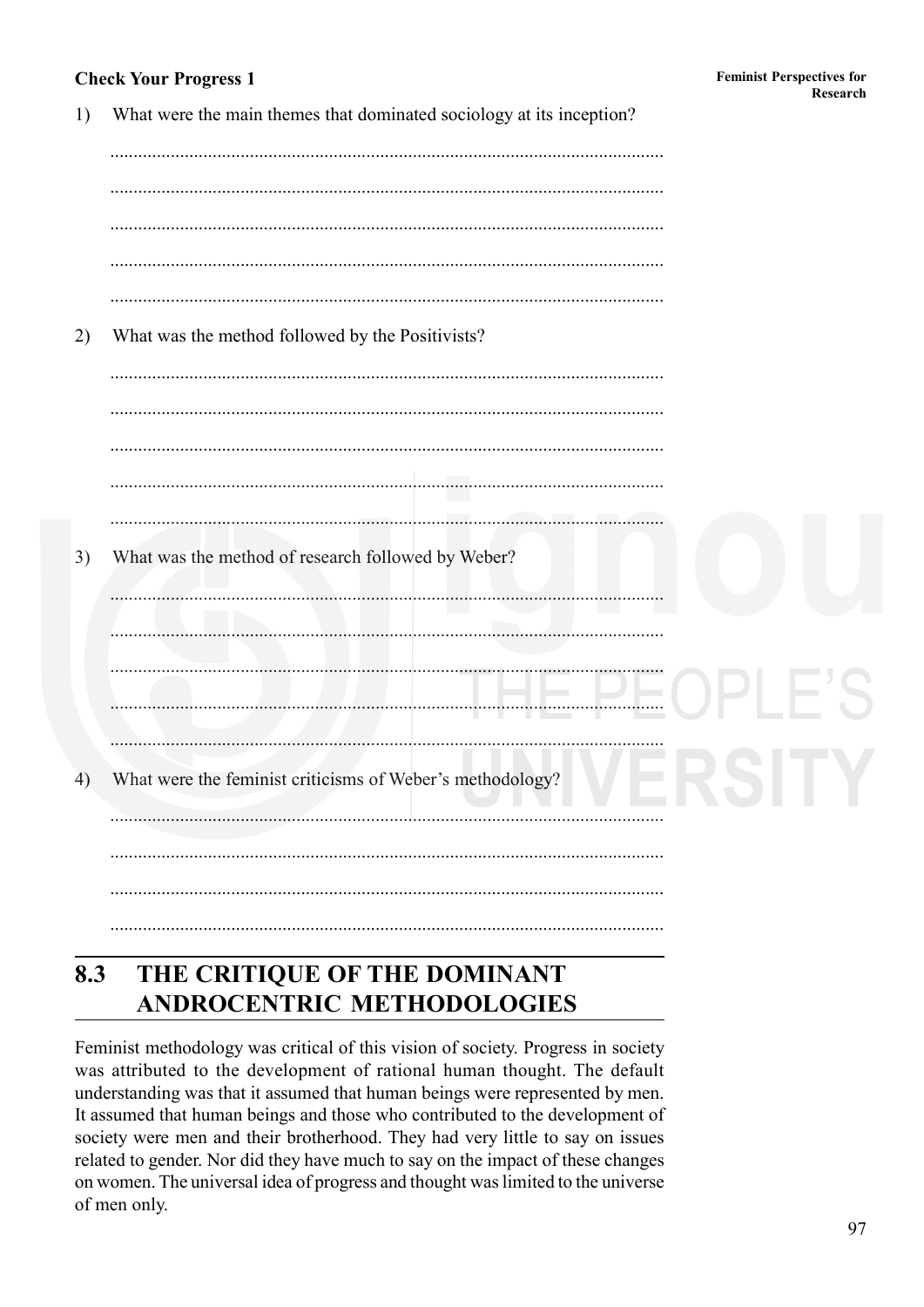## **Check Your Progress 1**

| 1) | What were the main themes that dominated sociology at its inception? |
|----|----------------------------------------------------------------------|
| 2) | What was the method followed by the Positivists?                     |
|    |                                                                      |
| 3) | What was the method of research followed by Weber?                   |
|    |                                                                      |
| 4) | What were the feminist criticisms of Weber's methodology?            |
|    |                                                                      |

#### 8.3 THE CRITIQUE OF THE DOMINANT **ANDROCENTRIC METHODOLOGIES**

Feminist methodology was critical of this vision of society. Progress in society was attributed to the development of rational human thought. The default understanding was that it assumed that human beings were represented by men. It assumed that human beings and those who contributed to the development of society were men and their brotherhood. They had very little to say on issues related to gender. Nor did they have much to say on the impact of these changes on women. The universal idea of progress and thought was limited to the universe of men only.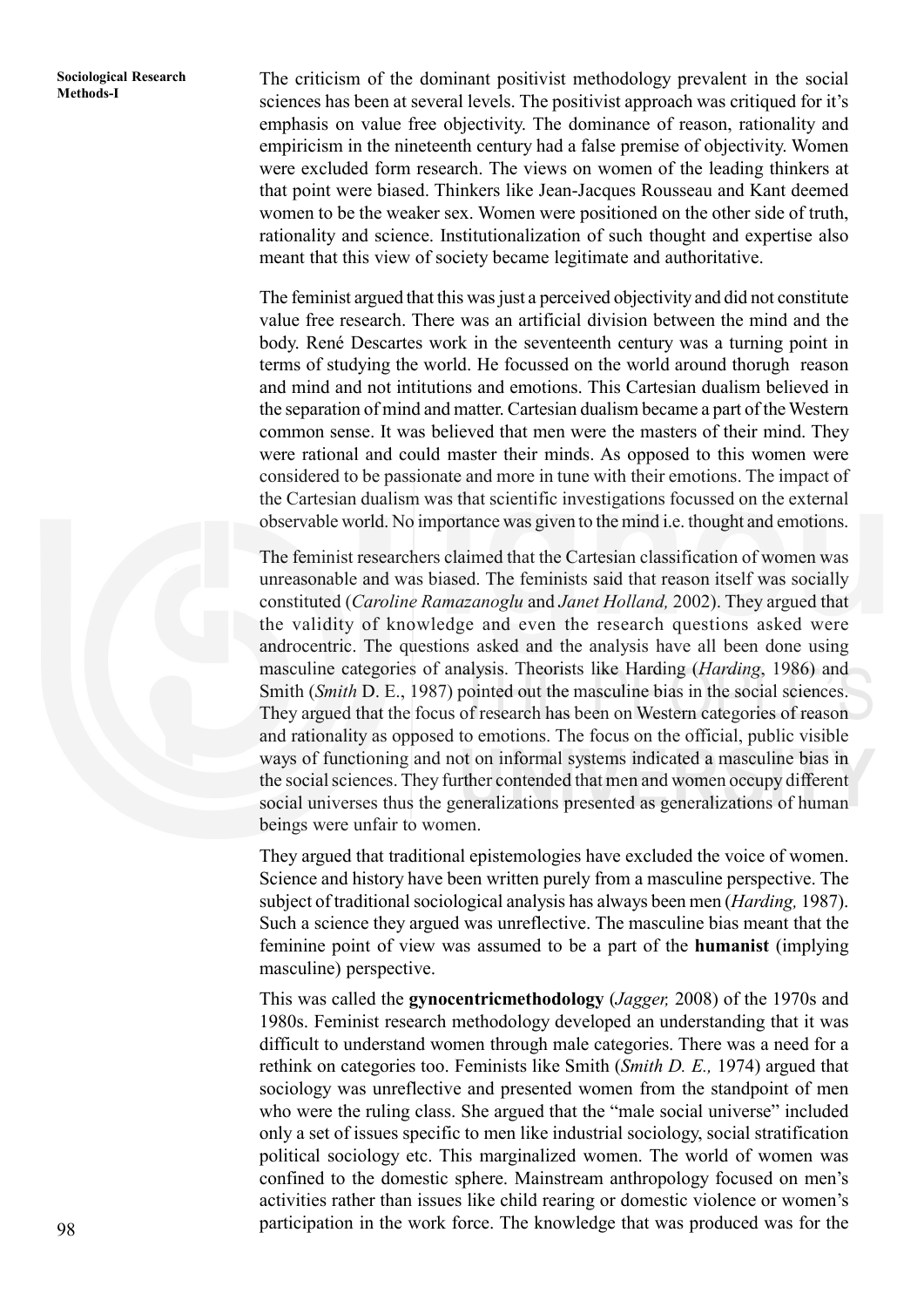**Methods-I** The criticism of the dominant positivist methodology prevalent in the social Methods-I sciences has been at several levels. The positivist approach was critiqued for it's emphasis on value free objectivity. The dominance of reason, rationality and empiricism in the nineteenth century had a false premise of objectivity. Women were excluded form research. The views on women of the leading thinkers at that point were biased. Thinkers like Jean-Jacques Rousseau and Kant deemed women to be the weaker sex. Women were positioned on the other side of truth, rationality and science. Institutionalization of such thought and expertise also meant that this view of society became legitimate and authoritative.

> The feminist argued that this was just a perceived objectivity and did not constitute value free research. There was an artificial division between the mind and the body. René Descartes work in the seventeenth century was a turning point in terms of studying the world. He focussed on the world around thorugh reason and mind and not intitutions and emotions. This Cartesian dualism believed in the separation of mind and matter. Cartesian dualism became a part of the Western common sense. It was believed that men were the masters of their mind. They were rational and could master their minds. As opposed to this women were considered to be passionate and more in tune with their emotions. The impact of the Cartesian dualism was that scientific investigations focussed on the external observable world. No importance was given to the mind i.e. thought and emotions.

> The feminist researchers claimed that the Cartesian classification of women was unreasonable and was biased. The feminists said that reason itself was socially constituted (*Caroline Ramazanoglu* and *Janet Holland,* 2002). They argued that the validity of knowledge and even the research questions asked were androcentric. The questions asked and the analysis have all been done using masculine categories of analysis. Theorists like Harding (*Harding*, 1986) and Smith (*Smith* D. E., 1987) pointed out the masculine bias in the social sciences. They argued that the focus of research has been on Western categories of reason and rationality as opposed to emotions. The focus on the official, public visible ways of functioning and not on informal systems indicated a masculine bias in the social sciences. They further contended that men and women occupy different social universes thus the generalizations presented as generalizations of human beings were unfair to women.

> They argued that traditional epistemologies have excluded the voice of women. Science and history have been written purely from a masculine perspective. The subject of traditional sociological analysis has always been men (*Harding,* 1987). Such a science they argued was unreflective. The masculine bias meant that the feminine point of view was assumed to be a part of the **humanist** (implying masculine) perspective.

> This was called the **gynocentricmethodology** (*Jagger,* 2008) of the 1970s and 1980s. Feminist research methodology developed an understanding that it was difficult to understand women through male categories. There was a need for a rethink on categories too. Feminists like Smith (*Smith D. E.,* 1974) argued that sociology was unreflective and presented women from the standpoint of men who were the ruling class. She argued that the "male social universe" included only a set of issues specific to men like industrial sociology, social stratification political sociology etc. This marginalized women. The world of women was confined to the domestic sphere. Mainstream anthropology focused on men's activities rather than issues like child rearing or domestic violence or women's participation in the work force. The knowledge that was produced was for the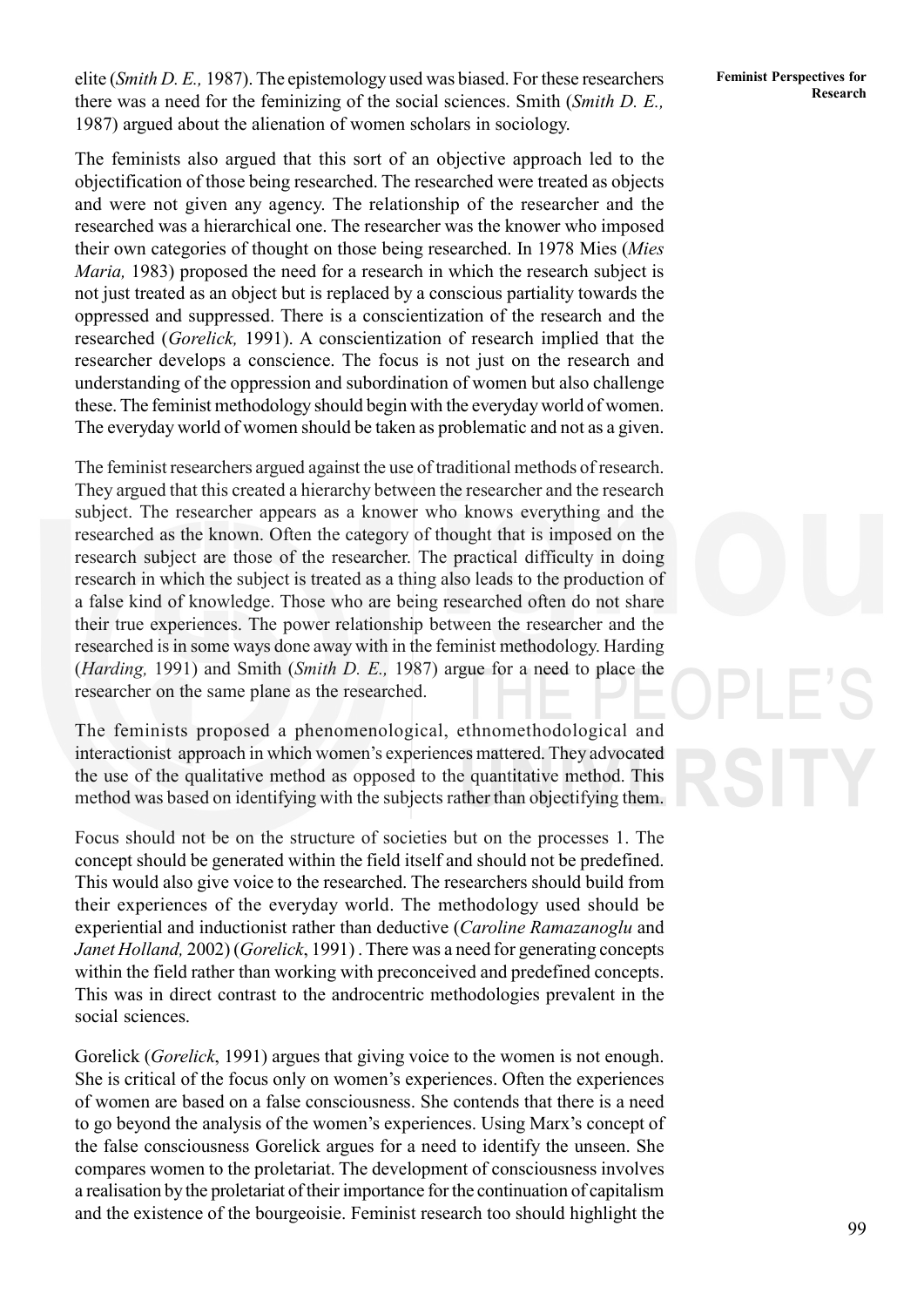elite (*Smith D. E.*, 1987). The epistemology used was biased. For these researchers Feminist Perspectives for there was a need for the feminizing of the social sciences. Smith (*Smith D. E.,* 1987) argued about the alienation of women scholars in sociology.

The feminists also argued that this sort of an objective approach led to the objectification of those being researched. The researched were treated as objects and were not given any agency. The relationship of the researcher and the researched was a hierarchical one. The researcher was the knower who imposed their own categories of thought on those being researched. In 1978 Mies (*Mies Maria,* 1983) proposed the need for a research in which the research subject is not just treated as an object but is replaced by a conscious partiality towards the oppressed and suppressed. There is a conscientization of the research and the researched (*Gorelick,* 1991). A conscientization of research implied that the researcher develops a conscience. The focus is not just on the research and understanding of the oppression and subordination of women but also challenge these. The feminist methodology should begin with the everyday world of women. The everyday world of women should be taken as problematic and not as a given.

The feminist researchers argued against the use of traditional methods of research. They argued that this created a hierarchy between the researcher and the research subject. The researcher appears as a knower who knows everything and the researched as the known. Often the category of thought that is imposed on the research subject are those of the researcher. The practical difficulty in doing research in which the subject is treated as a thing also leads to the production of a false kind of knowledge. Those who are being researched often do not share their true experiences. The power relationship between the researcher and the researched is in some ways done away with in the feminist methodology. Harding (*Harding,* 1991) and Smith (*Smith D. E.,* 1987) argue for a need to place the researcher on the same plane as the researched.

The feminists proposed a phenomenological, ethnomethodological and interactionist approach in which women's experiences mattered. They advocated the use of the qualitative method as opposed to the quantitative method. This method was based on identifying with the subjects rather than objectifying them.

Focus should not be on the structure of societies but on the processes 1. The concept should be generated within the field itself and should not be predefined. This would also give voice to the researched. The researchers should build from their experiences of the everyday world. The methodology used should be experiential and inductionist rather than deductive (*Caroline Ramazanoglu* and *Janet Holland,* 2002) (*Gorelick*, 1991) . There was a need for generating concepts within the field rather than working with preconceived and predefined concepts. This was in direct contrast to the androcentric methodologies prevalent in the social sciences.

Gorelick (*Gorelick*, 1991) argues that giving voice to the women is not enough. She is critical of the focus only on women's experiences. Often the experiences of women are based on a false consciousness. She contends that there is a need to go beyond the analysis of the women's experiences. Using Marx's concept of the false consciousness Gorelick argues for a need to identify the unseen. She compares women to the proletariat. The development of consciousness involves a realisation by the proletariat of their importance for the continuation of capitalism and the existence of the bourgeoisie. Feminist research too should highlight the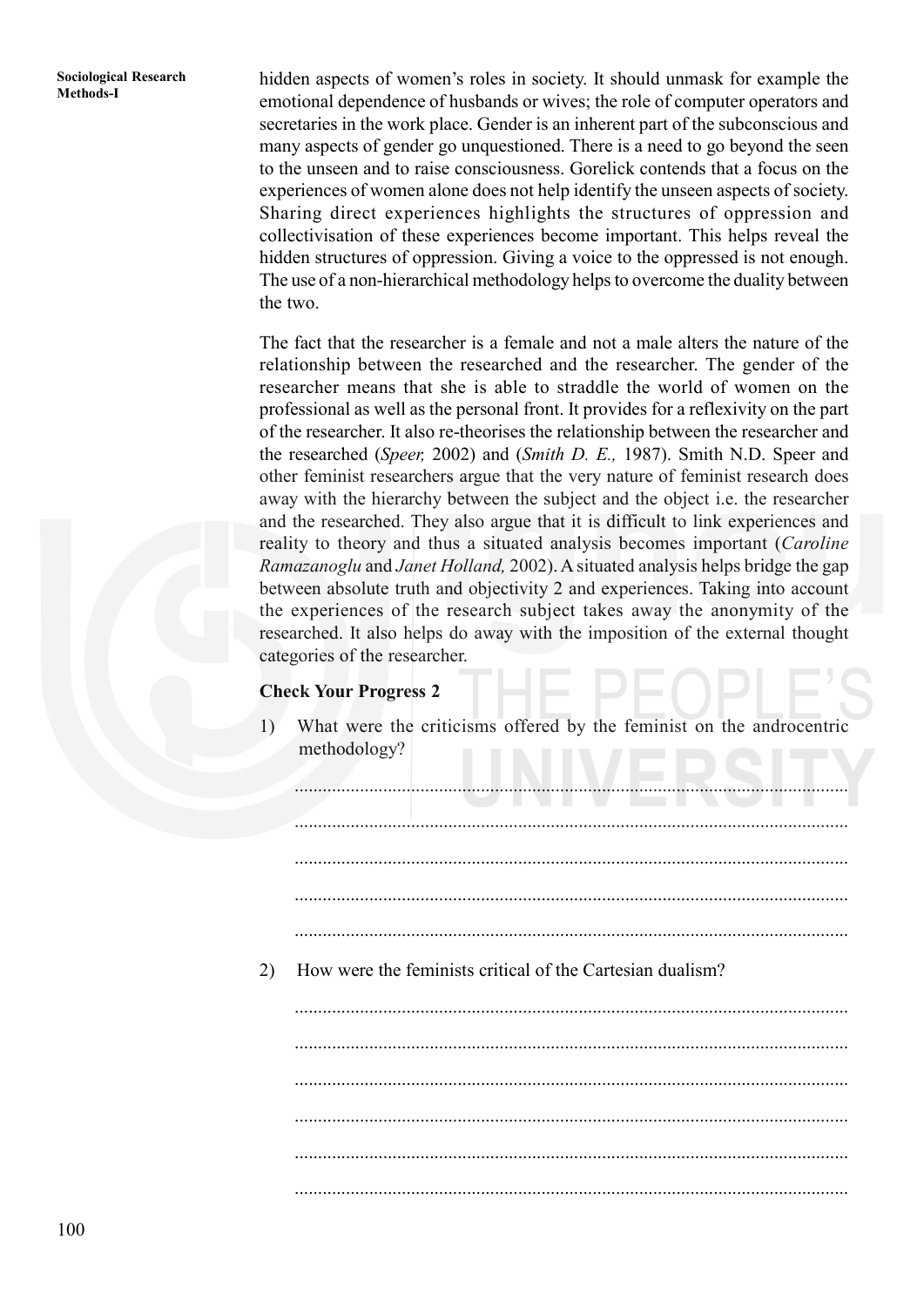**Methods-I** hidden aspects of women's roles in society. It should unmask for example the emotional dependence of husbands or wives; the role of computer operators and secretaries in the work place. Gender is an inherent part of the subconscious and many aspects of gender go unquestioned. There is a need to go beyond the seen to the unseen and to raise consciousness. Gorelick contends that a focus on the experiences of women alone does not help identify the unseen aspects of society. Sharing direct experiences highlights the structures of oppression and collectivisation of these experiences become important. This helps reveal the hidden structures of oppression. Giving a voice to the oppressed is not enough. The use of a non-hierarchical methodology helps to overcome the duality between the two.

> The fact that the researcher is a female and not a male alters the nature of the relationship between the researched and the researcher. The gender of the researcher means that she is able to straddle the world of women on the professional as well as the personal front. It provides for a reflexivity on the part of the researcher. It also re-theorises the relationship between the researcher and the researched (*Speer,* 2002) and (*Smith D. E.,* 1987). Smith N.D. Speer and other feminist researchers argue that the very nature of feminist research does away with the hierarchy between the subject and the object i.e. the researcher and the researched. They also argue that it is difficult to link experiences and reality to theory and thus a situated analysis becomes important (*Caroline Ramazanoglu* and *Janet Holland,* 2002). A situated analysis helps bridge the gap between absolute truth and objectivity 2 and experiences. Taking into account the experiences of the research subject takes away the anonymity of the researched. It also helps do away with the imposition of the external thought categories of the researcher.

#### **Check Your Progress 2**

1) What were the criticisms offered by the feminist on the androcentric methodology?

....................................................................................................................... ....................................................................................................................... ....................................................................................................................... ....................................................................................................................... ....................................................................................................................... 2) How were the feminists critical of the Cartesian dualism? ....................................................................................................................... ....................................................................................................................... ....................................................................................................................... ....................................................................................................................... ....................................................................................................................... .......................................................................................................................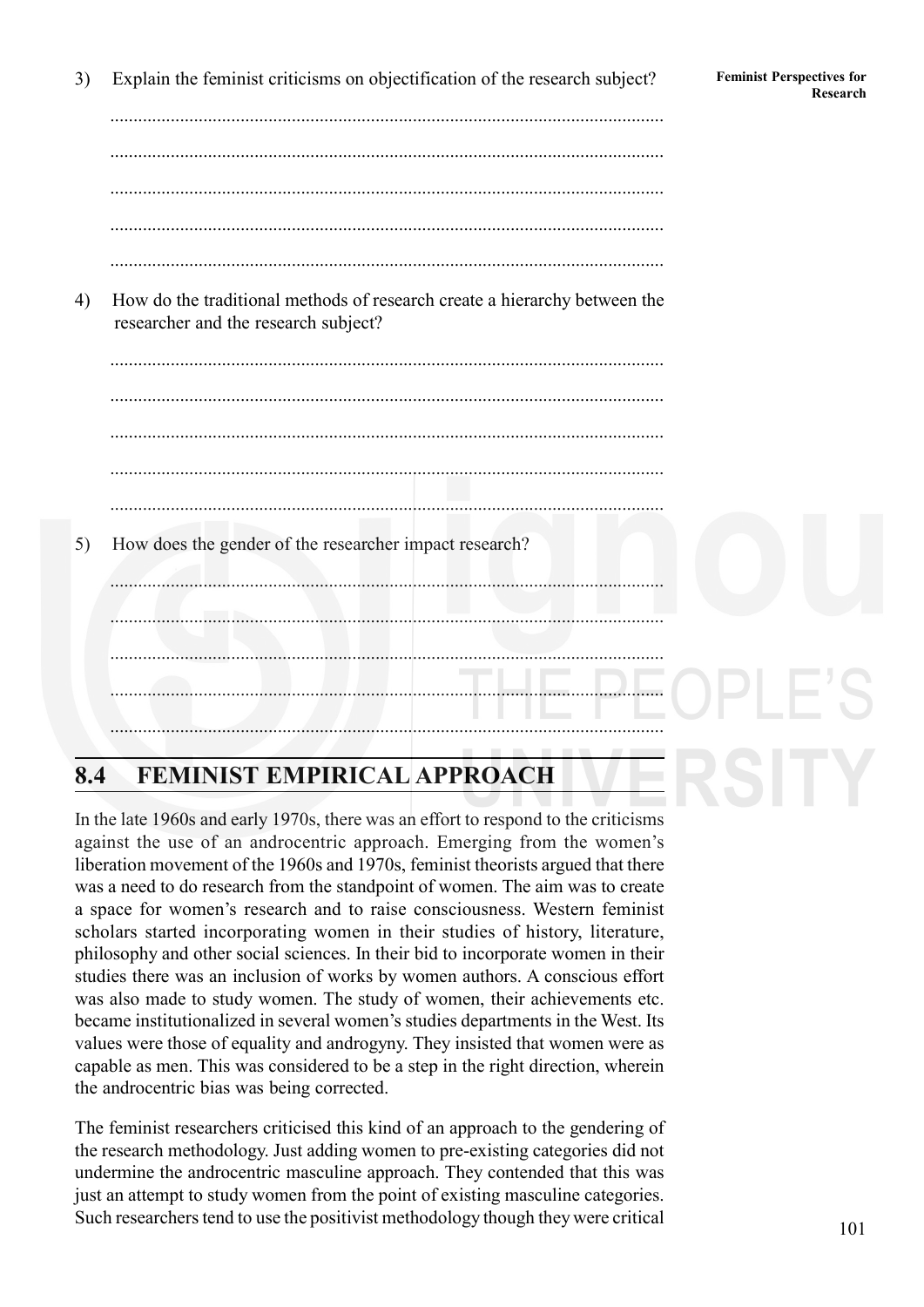**Research** 3) Explain the feminist criticisms on objectification of the research subject? Feminist Perspectives for

....................................................................................................................... ....................................................................................................................... ....................................................................................................................... .......................................................................................................................

4) How do the traditional methods of research create a hierarchy between the researcher and the research subject?



## **8.4 FEMINIST EMPIRICAL APPROACH**

In the late 1960s and early 1970s, there was an effort to respond to the criticisms against the use of an androcentric approach. Emerging from the women's liberation movement of the 1960s and 1970s, feminist theorists argued that there was a need to do research from the standpoint of women. The aim was to create a space for women's research and to raise consciousness. Western feminist scholars started incorporating women in their studies of history, literature, philosophy and other social sciences. In their bid to incorporate women in their studies there was an inclusion of works by women authors. A conscious effort was also made to study women. The study of women, their achievements etc. became institutionalized in several women's studies departments in the West. Its values were those of equality and androgyny. They insisted that women were as capable as men. This was considered to be a step in the right direction, wherein the androcentric bias was being corrected.

The feminist researchers criticised this kind of an approach to the gendering of the research methodology. Just adding women to pre-existing categories did not undermine the androcentric masculine approach. They contended that this was just an attempt to study women from the point of existing masculine categories. Such researchers tend to use the positivist methodology though they were critical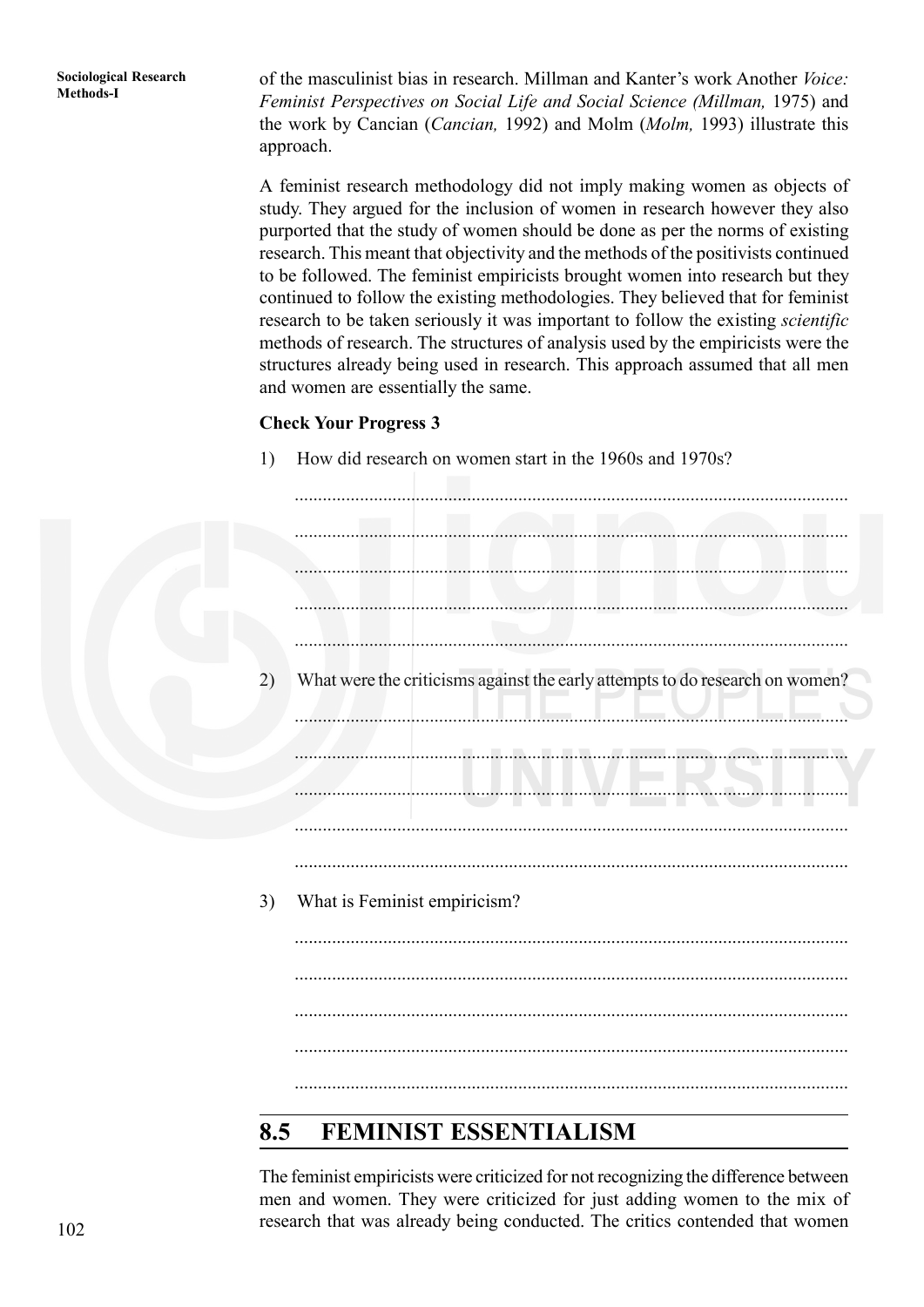of the masculinist bias in research. Millman and Kanter's work Another *Voice: Feminist Perspectives on Social Life and Social Science (Millman,* 1975) and the work by Cancian (*Cancian,* 1992) and Molm (*Molm,* 1993) illustrate this approach.

A feminist research methodology did not imply making women as objects of study. They argued for the inclusion of women in research however they also purported that the study of women should be done as per the norms of existing research. This meant that objectivity and the methods of the positivists continued to be followed. The feminist empiricists brought women into research but they continued to follow the existing methodologies. They believed that for feminist research to be taken seriously it was important to follow the existing *scientific* methods of research. The structures of analysis used by the empiricists were the structures already being used in research. This approach assumed that all men and women are essentially the same.

#### **Check Your Progress 3**

1) How did research on women start in the 1960s and 1970s?

....................................................................................................................... ....................................................................................................................... ....................................................................................................................... ....................................................................................................................... ....................................................................................................................... 2) What were the criticisms against the early attempts to do research on women? ....................................................................................................................... ....................................................................................................................... ....................................................................................................................... ....................................................................................................................... ....................................................................................................................... 3) What is Feminist empiricism? ....................................................................................................................... ....................................................................................................................... ....................................................................................................................... ....................................................................................................................... .......................................................................................................................

## **8.5 FEMINIST ESSENTIALISM**

The feminist empiricists were criticized for not recognizing the difference between men and women. They were criticized for just adding women to the mix of research that was already being conducted. The critics contended that women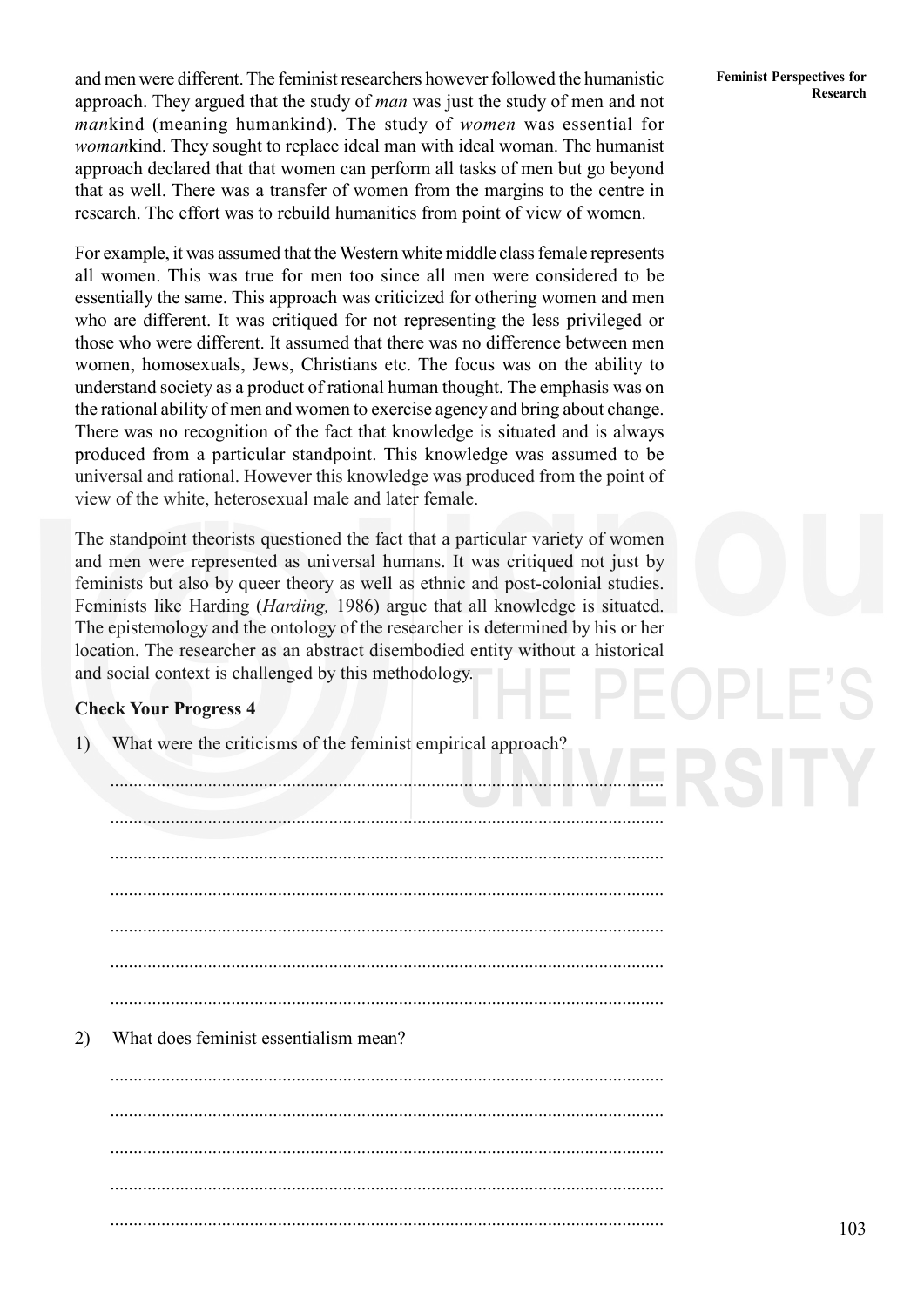and men were different. The feminist researchers however followed the humanistic approach. They argued that the study of *man* was just the study of men and not *man*kind (meaning humankind). The study of *women* was essential for *woman*kind. They sought to replace ideal man with ideal woman. The humanist approach declared that that women can perform all tasks of men but go beyond that as well. There was a transfer of women from the margins to the centre in research. The effort was to rebuild humanities from point of view of women.

For example, it was assumed that the Western white middle class female represents all women. This was true for men too since all men were considered to be essentially the same. This approach was criticized for othering women and men who are different. It was critiqued for not representing the less privileged or those who were different. It assumed that there was no difference between men women, homosexuals, Jews, Christians etc. The focus was on the ability to understand society as a product of rational human thought. The emphasis was on the rational ability of men and women to exercise agency and bring about change. There was no recognition of the fact that knowledge is situated and is always produced from a particular standpoint. This knowledge was assumed to be universal and rational. However this knowledge was produced from the point of view of the white, heterosexual male and later female.

The standpoint theorists questioned the fact that a particular variety of women and men were represented as universal humans. It was critiqued not just by feminists but also by queer theory as well as ethnic and post-colonial studies. Feminists like Harding (*Harding,* 1986) argue that all knowledge is situated. The epistemology and the ontology of the researcher is determined by his or her location. The researcher as an abstract disembodied entity without a historical and social context is challenged by this methodology.

#### **Check Your Progress 4**

1) What were the criticisms of the feminist empirical approach? ....................................................................................................................... ....................................................................................................................... ....................................................................................................................... ....................................................................................................................... ....................................................................................................................... ....................................................................................................................... 2) What does feminist essentialism mean? ....................................................................................................................... ....................................................................................................................... ....................................................................................................................... ....................................................................................................................... .......................................................................................................................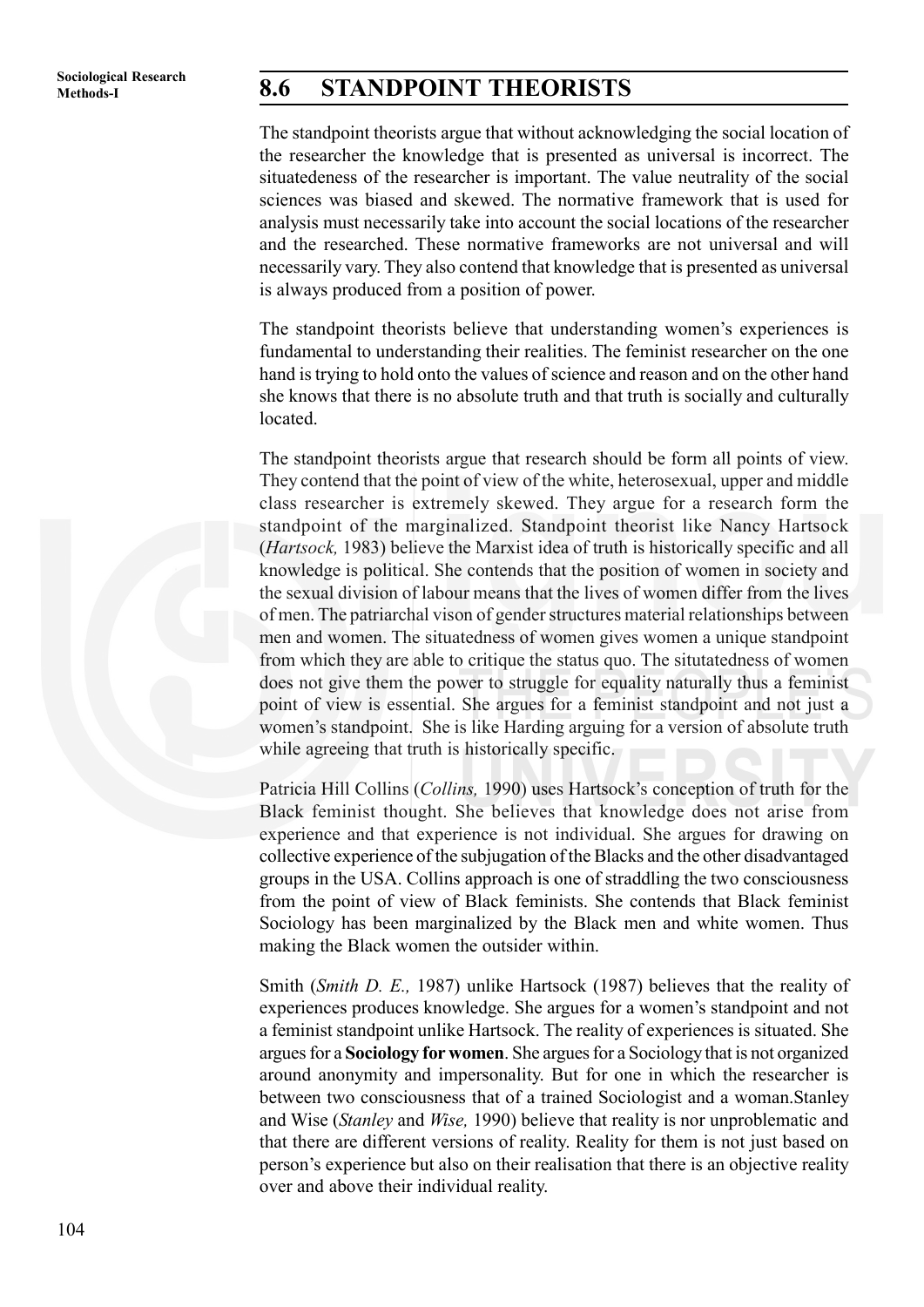## **Methods-I 8.6 STANDPOINT THEORISTS**

The standpoint theorists argue that without acknowledging the social location of the researcher the knowledge that is presented as universal is incorrect. The situatedeness of the researcher is important. The value neutrality of the social sciences was biased and skewed. The normative framework that is used for analysis must necessarily take into account the social locations of the researcher and the researched. These normative frameworks are not universal and will necessarily vary. They also contend that knowledge that is presented as universal is always produced from a position of power.

The standpoint theorists believe that understanding women's experiences is fundamental to understanding their realities. The feminist researcher on the one hand is trying to hold onto the values of science and reason and on the other hand she knows that there is no absolute truth and that truth is socially and culturally located.

The standpoint theorists argue that research should be form all points of view. They contend that the point of view of the white, heterosexual, upper and middle class researcher is extremely skewed. They argue for a research form the standpoint of the marginalized. Standpoint theorist like Nancy Hartsock (*Hartsock,* 1983) believe the Marxist idea of truth is historically specific and all knowledge is political. She contends that the position of women in society and the sexual division of labour means that the lives of women differ from the lives of men. The patriarchal vison of gender structures material relationships between men and women. The situatedness of women gives women a unique standpoint from which they are able to critique the status quo. The situtatedness of women does not give them the power to struggle for equality naturally thus a feminist point of view is essential. She argues for a feminist standpoint and not just a women's standpoint. She is like Harding arguing for a version of absolute truth while agreeing that truth is historically specific.

Patricia Hill Collins (*Collins,* 1990) uses Hartsock's conception of truth for the Black feminist thought. She believes that knowledge does not arise from experience and that experience is not individual. She argues for drawing on collective experience of the subjugation of the Blacks and the other disadvantaged groups in the USA. Collins approach is one of straddling the two consciousness from the point of view of Black feminists. She contends that Black feminist Sociology has been marginalized by the Black men and white women. Thus making the Black women the outsider within.

Smith (*Smith D. E.,* 1987) unlike Hartsock (1987) believes that the reality of experiences produces knowledge. She argues for a women's standpoint and not a feminist standpoint unlike Hartsock. The reality of experiences is situated. She argues for a **Sociology for women**. She argues for a Sociology that is not organized around anonymity and impersonality. But for one in which the researcher is between two consciousness that of a trained Sociologist and a woman.Stanley and Wise (*Stanley* and *Wise,* 1990) believe that reality is nor unproblematic and that there are different versions of reality. Reality for them is not just based on person's experience but also on their realisation that there is an objective reality over and above their individual reality.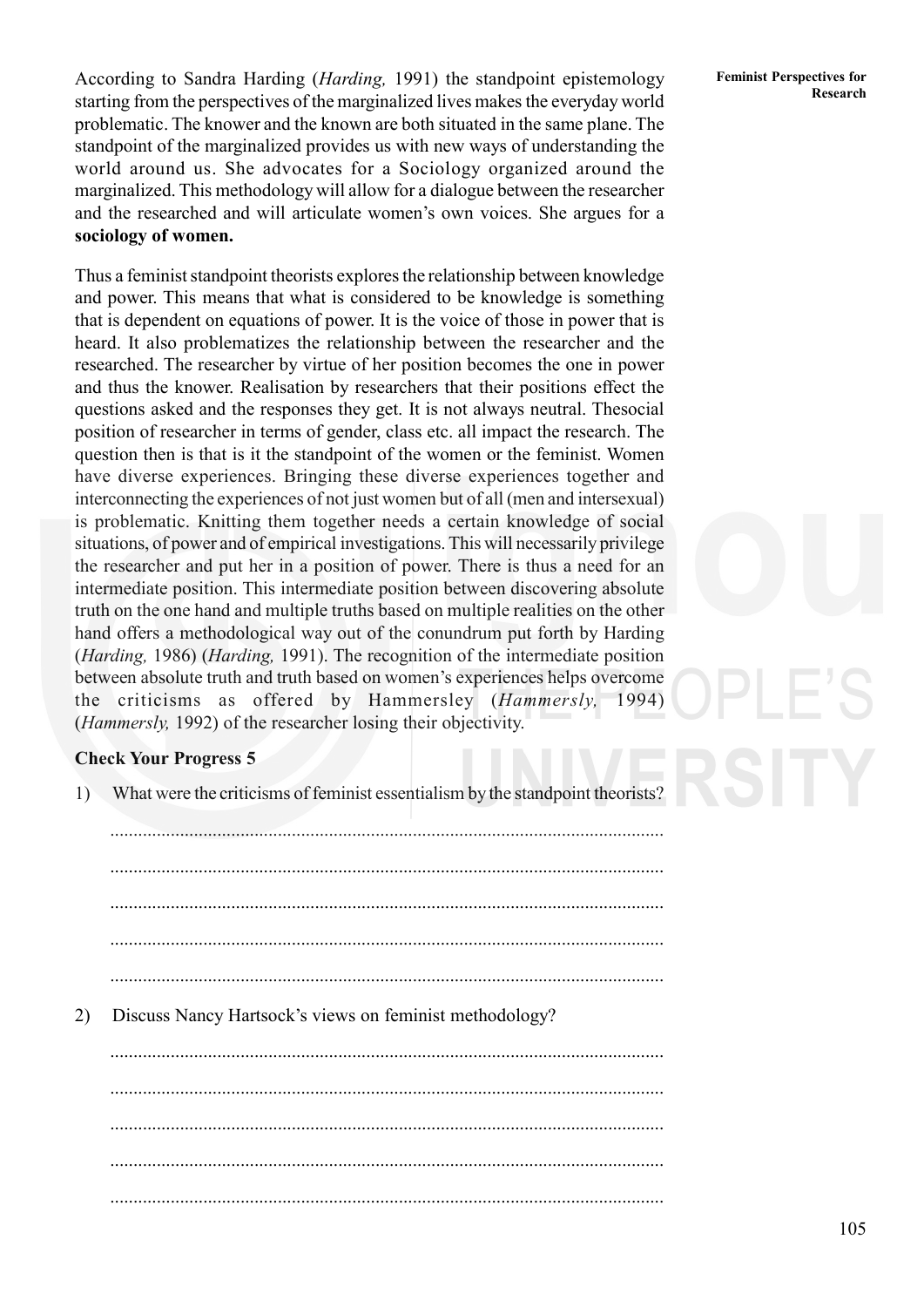**Research** According to Sandra Harding (*Harding,* 1991) the standpoint epistemology starting from the perspectives of the marginalized lives makes the everyday world problematic. The knower and the known are both situated in the same plane. The standpoint of the marginalized provides us with new ways of understanding the world around us. She advocates for a Sociology organized around the marginalized. This methodology will allow for a dialogue between the researcher and the researched and will articulate women's own voices. She argues for a **sociology of women.**

Thus a feminist standpoint theorists explores the relationship between knowledge and power. This means that what is considered to be knowledge is something that is dependent on equations of power. It is the voice of those in power that is heard. It also problematizes the relationship between the researcher and the researched. The researcher by virtue of her position becomes the one in power and thus the knower. Realisation by researchers that their positions effect the questions asked and the responses they get. It is not always neutral. Thesocial position of researcher in terms of gender, class etc. all impact the research. The question then is that is it the standpoint of the women or the feminist. Women have diverse experiences. Bringing these diverse experiences together and interconnecting the experiences of not just women but of all (men and intersexual) is problematic. Knitting them together needs a certain knowledge of social situations, of power and of empirical investigations. This will necessarily privilege the researcher and put her in a position of power. There is thus a need for an intermediate position. This intermediate position between discovering absolute truth on the one hand and multiple truths based on multiple realities on the other hand offers a methodological way out of the conundrum put forth by Harding (*Harding,* 1986) (*Harding,* 1991). The recognition of the intermediate position between absolute truth and truth based on women's experiences helps overcome the criticisms as offered by Hammersley (*Hammersly,* 1994) (*Hammersly,* 1992) of the researcher losing their objectivity.

#### **Check Your Progress 5**

1) What were the criticisms of feminist essentialism by the standpoint theorists?

....................................................................................................................... ....................................................................................................................... ....................................................................................................................... .......................................................................................................................

2) Discuss Nancy Hartsock's views on feminist methodology?

....................................................................................................................... ....................................................................................................................... ....................................................................................................................... ....................................................................................................................... .......................................................................................................................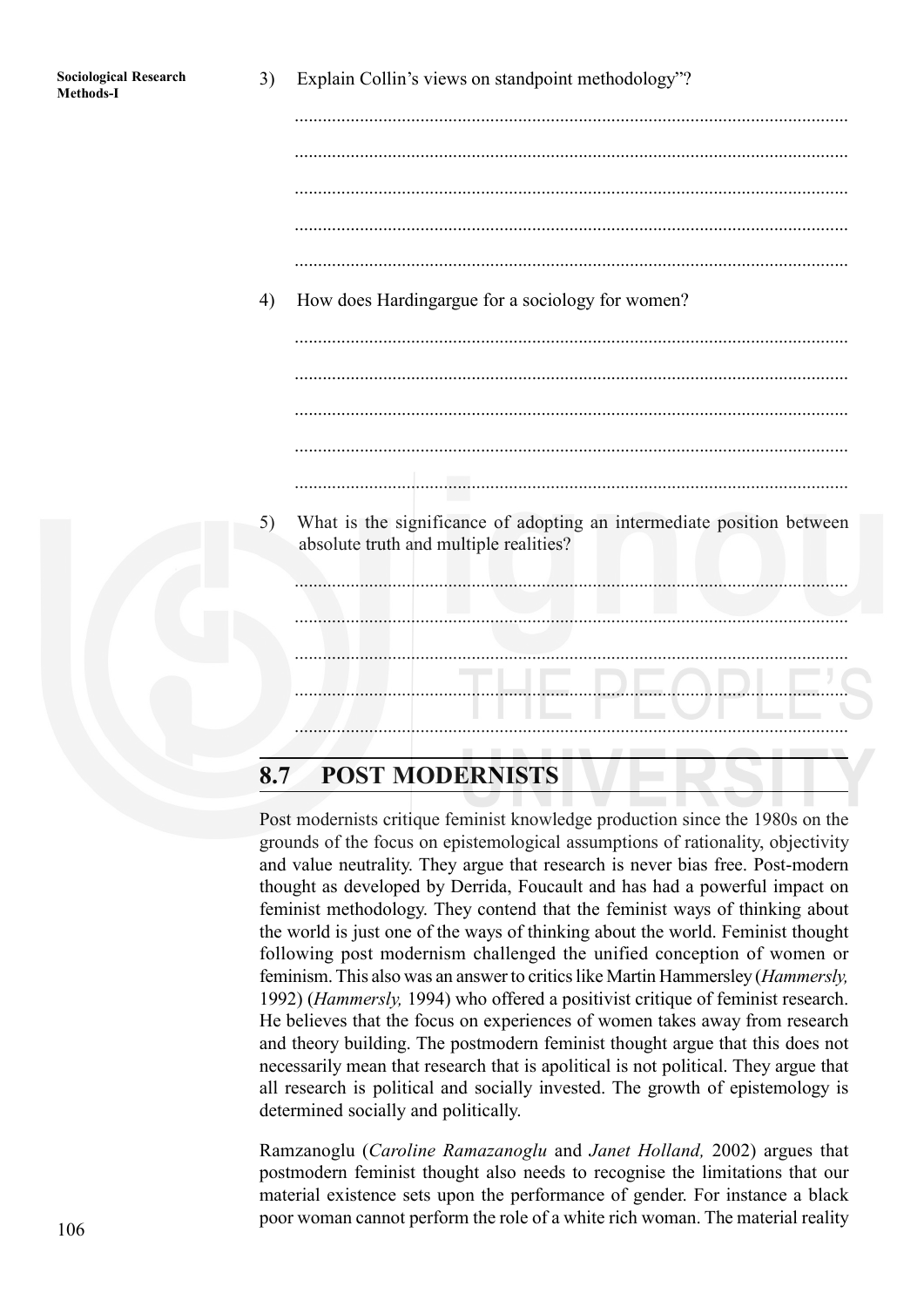| <b>Sociological Research</b><br>Methods-I | 3) | Explain Collin's views on standpoint methodology"?                                                              |
|-------------------------------------------|----|-----------------------------------------------------------------------------------------------------------------|
|                                           |    |                                                                                                                 |
|                                           |    |                                                                                                                 |
|                                           |    |                                                                                                                 |
|                                           |    |                                                                                                                 |
|                                           |    |                                                                                                                 |
|                                           | 4) | How does Hardingargue for a sociology for women?                                                                |
|                                           |    |                                                                                                                 |
|                                           |    |                                                                                                                 |
|                                           |    |                                                                                                                 |
|                                           |    |                                                                                                                 |
|                                           |    |                                                                                                                 |
|                                           | 5) | What is the significance of adopting an intermediate position between<br>absolute truth and multiple realities? |
|                                           |    |                                                                                                                 |
|                                           |    |                                                                                                                 |
|                                           |    |                                                                                                                 |
|                                           |    |                                                                                                                 |
|                                           |    |                                                                                                                 |

## **8.7 POST MODERNISTS**

Post modernists critique feminist knowledge production since the 1980s on the grounds of the focus on epistemological assumptions of rationality, objectivity and value neutrality. They argue that research is never bias free. Post-modern thought as developed by Derrida, Foucault and has had a powerful impact on feminist methodology. They contend that the feminist ways of thinking about the world is just one of the ways of thinking about the world. Feminist thought following post modernism challenged the unified conception of women or feminism. This also was an answer to critics like Martin Hammersley (*Hammersly,* 1992) (*Hammersly,* 1994) who offered a positivist critique of feminist research. He believes that the focus on experiences of women takes away from research and theory building. The postmodern feminist thought argue that this does not necessarily mean that research that is apolitical is not political. They argue that all research is political and socially invested. The growth of epistemology is determined socially and politically.

Ramzanoglu (*Caroline Ramazanoglu* and *Janet Holland,* 2002) argues that postmodern feminist thought also needs to recognise the limitations that our material existence sets upon the performance of gender. For instance a black poor woman cannot perform the role of a white rich woman. The material reality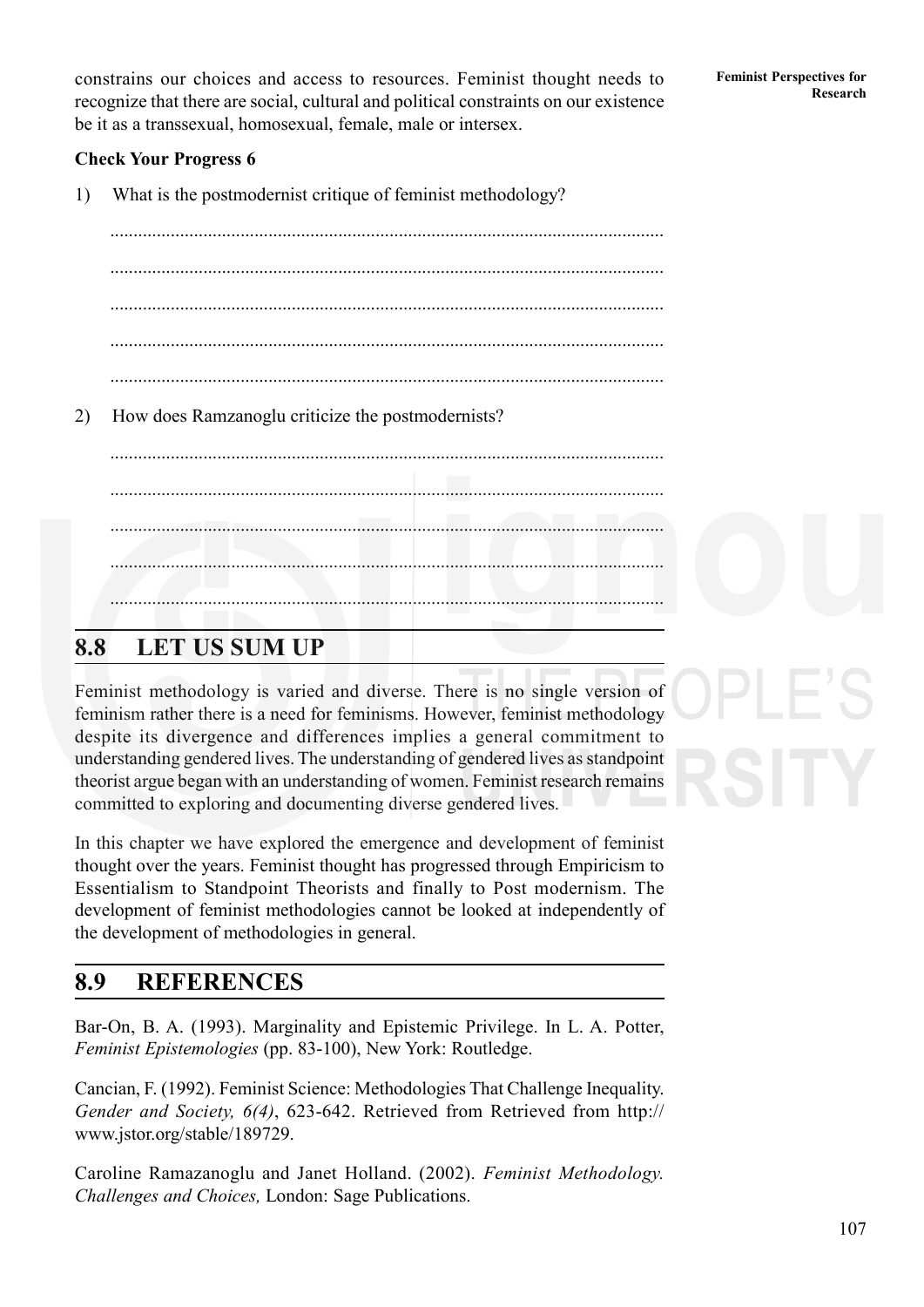**Research** constrains our choices and access to resources. Feminist thought needs to Feminist Perspectives for recognize that there are social, cultural and political constraints on our existence be it as a transsexual, homosexual, female, male or intersex.

## **Check Your Progress 6**

1) What is the postmodernist critique of feminist methodology?

....................................................................................................................... ....................................................................................................................... ....................................................................................................................... .......................................................................................................................

.......................................................................................................................

.......................................................................................................................

2) How does Ramzanoglu criticize the postmodernists?

.......................................................................................................................

**8.8 LET US SUM UP**

Feminist methodology is varied and diverse. There is no single version of feminism rather there is a need for feminisms. However, feminist methodology despite its divergence and differences implies a general commitment to understanding gendered lives. The understanding of gendered lives as standpoint theorist argue began with an understanding of women. Feminist research remains committed to exploring and documenting diverse gendered lives.

.......................................................................................................................

In this chapter we have explored the emergence and development of feminist thought over the years. Feminist thought has progressed through Empiricism to Essentialism to Standpoint Theorists and finally to Post modernism. The development of feminist methodologies cannot be looked at independently of the development of methodologies in general.

## **8.9 REFERENCES**

Bar-On, B. A. (1993). Marginality and Epistemic Privilege. In L. A. Potter, *Feminist Epistemologies* (pp. 83-100), New York: Routledge.

Cancian, F. (1992). Feminist Science: Methodologies That Challenge Inequality. *Gender and Society, 6(4)*, 623-642. Retrieved from Retrieved from http:// www.jstor.org/stable/189729.

Caroline Ramazanoglu and Janet Holland. (2002). *Feminist Methodology. Challenges and Choices,* London: Sage Publications.

107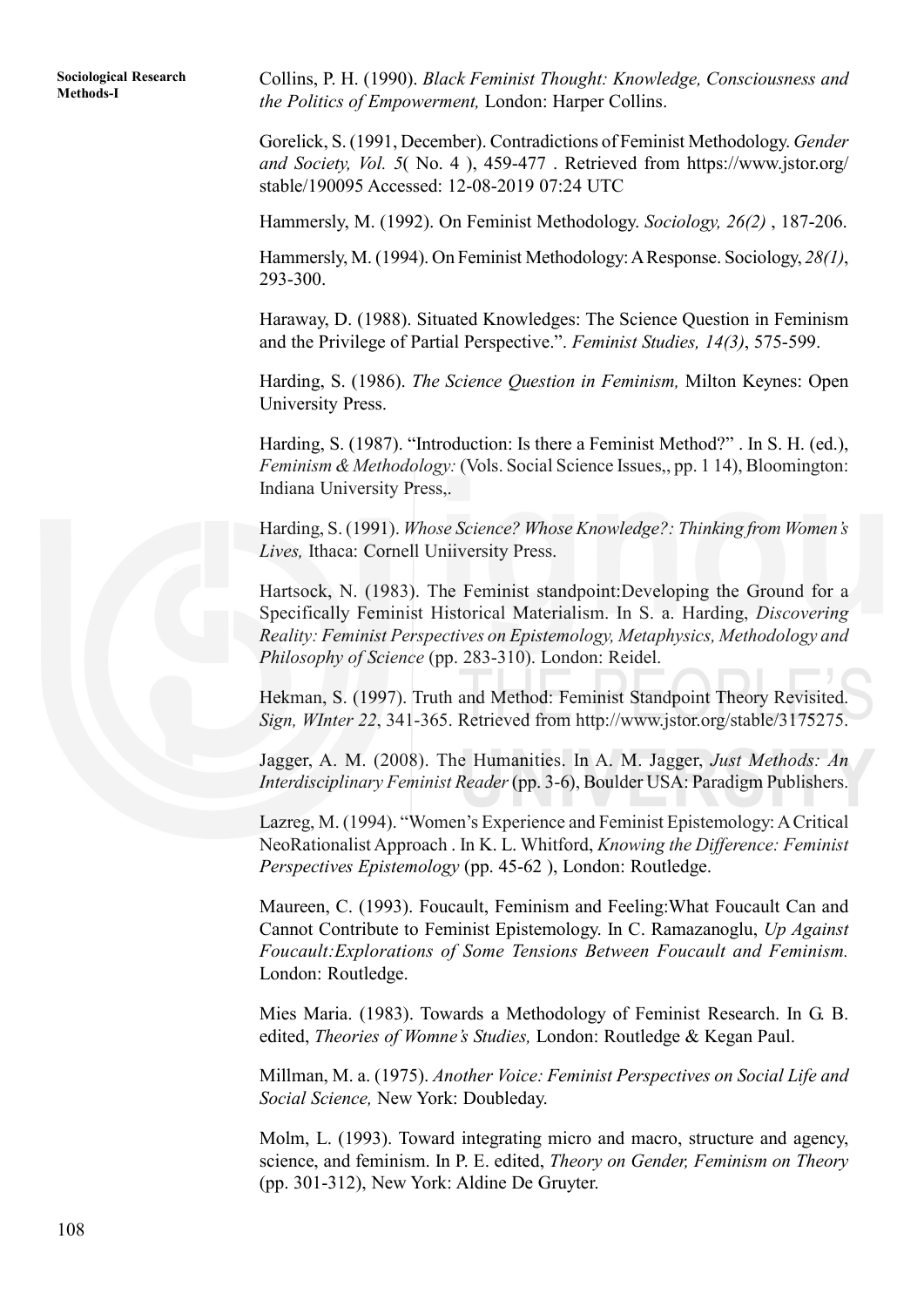**Methods-I** Collins, P. H. (1990). *Black Feminist Thought: Knowledge, Consciousness and the Politics of Empowerment,* London: Harper Collins.

> Gorelick, S. (1991, December). Contradictions of Feminist Methodology. *Gender and Society, Vol. 5*( No. 4 ), 459-477 . Retrieved from https://www.jstor.org/ stable/190095 Accessed: 12-08-2019 07:24 UTC

> Hammersly, M. (1992). On Feminist Methodology. *Sociology, 26(2)* , 187-206.

Hammersly, M. (1994). On Feminist Methodology: A Response. Sociology, *28(1)*, 293-300.

Haraway, D. (1988). Situated Knowledges: The Science Question in Feminism and the Privilege of Partial Perspective.". *Feminist Studies, 14(3)*, 575-599.

Harding, S. (1986). *The Science Question in Feminism,* Milton Keynes: Open University Press.

Harding, S. (1987). "Introduction: Is there a Feminist Method?" . In S. H. (ed.), *Feminism & Methodology:* (Vols. Social Science Issues,, pp. 1 14), Bloomington: Indiana University Press,.

Harding, S. (1991). *Whose Science? Whose Knowledge?: Thinking from Women's Lives,* Ithaca: Cornell Uniiversity Press.

Hartsock, N. (1983). The Feminist standpoint:Developing the Ground for a Specifically Feminist Historical Materialism. In S. a. Harding, *Discovering Reality: Feminist Perspectives on Epistemology, Metaphysics, Methodology and Philosophy of Science* (pp. 283-310). London: Reidel.

Hekman, S. (1997). Truth and Method: Feminist Standpoint Theory Revisited. *Sign, WInter 22*, 341-365. Retrieved from http://www.jstor.org/stable/3175275.

Jagger, A. M. (2008). The Humanities. In A. M. Jagger, *Just Methods: An Interdisciplinary Feminist Reader* (pp. 3-6), Boulder USA: Paradigm Publishers.

Lazreg, M. (1994). "Women's Experience and Feminist Epistemology: A Critical NeoRationalist Approach . In K. L. Whitford, *Knowing the Difference: Feminist Perspectives Epistemology* (pp. 45-62 ), London: Routledge.

Maureen, C. (1993). Foucault, Feminism and Feeling:What Foucault Can and Cannot Contribute to Feminist Epistemology. In C. Ramazanoglu, *Up Against Foucault:Explorations of Some Tensions Between Foucault and Feminism.* London: Routledge.

Mies Maria. (1983). Towards a Methodology of Feminist Research. In G. B. edited, *Theories of Womne's Studies,* London: Routledge & Kegan Paul.

Millman, M. a. (1975). *Another Voice: Feminist Perspectives on Social Life and Social Science,* New York: Doubleday.

Molm, L. (1993). Toward integrating micro and macro, structure and agency, science, and feminism. In P. E. edited, *Theory on Gender, Feminism on Theory* (pp. 301-312), New York: Aldine De Gruyter.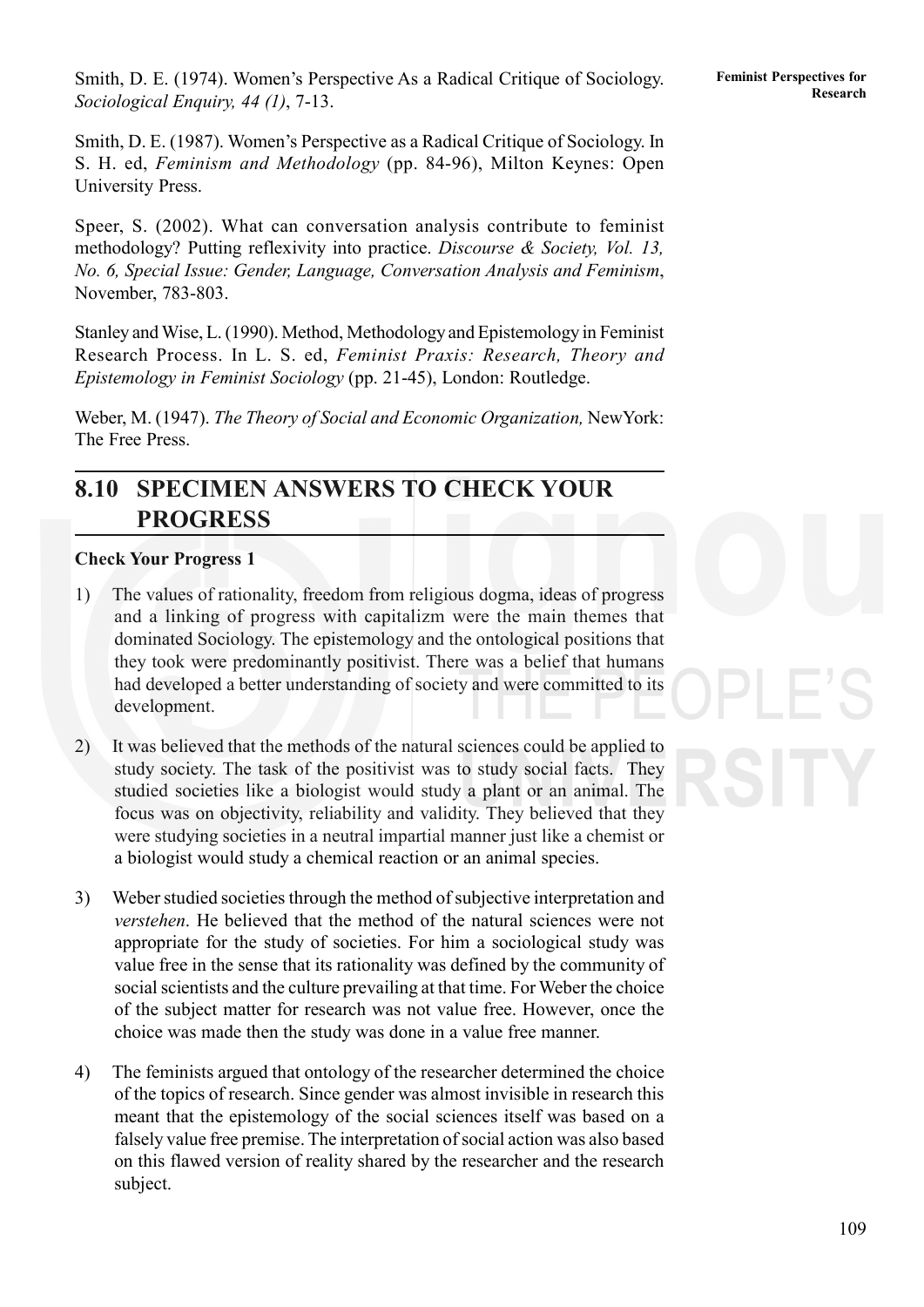109

**Research** Smith, D. E. (1974). Women's Perspective As a Radical Critique of Sociology. **Feminist Perspectives for** *Sociological Enquiry, 44 (1)*, 7-13.

Smith, D. E. (1987). Women's Perspective as a Radical Critique of Sociology. In S. H. ed, *Feminism and Methodology* (pp. 84-96), Milton Keynes: Open University Press.

Speer, S. (2002). What can conversation analysis contribute to feminist methodology? Putting reflexivity into practice. *Discourse & Society, Vol. 13, No. 6, Special Issue: Gender, Language, Conversation Analysis and Feminism*, November, 783-803.

Stanley and Wise, L. (1990). Method, Methodology and Epistemology in Feminist Research Process. In L. S. ed, *Feminist Praxis: Research, Theory and Epistemology in Feminist Sociology* (pp. 21-45), London: Routledge.

Weber, M. (1947). *The Theory of Social and Economic Organization,* NewYork: The Free Press.

## **8.10 SPECIMEN ANSWERS TO CHECK YOUR PROGRESS**

#### **Check Your Progress 1**

- 1) The values of rationality, freedom from religious dogma, ideas of progress and a linking of progress with capitalizm were the main themes that dominated Sociology. The epistemology and the ontological positions that they took were predominantly positivist. There was a belief that humans had developed a better understanding of society and were committed to its development.
- 2) It was believed that the methods of the natural sciences could be applied to study society. The task of the positivist was to study social facts. They studied societies like a biologist would study a plant or an animal. The focus was on objectivity, reliability and validity. They believed that they were studying societies in a neutral impartial manner just like a chemist or a biologist would study a chemical reaction or an animal species.
- 3) Weber studied societies through the method of subjective interpretation and *verstehen*. He believed that the method of the natural sciences were not appropriate for the study of societies. For him a sociological study was value free in the sense that its rationality was defined by the community of social scientists and the culture prevailing at that time. For Weber the choice of the subject matter for research was not value free. However, once the choice was made then the study was done in a value free manner.
- 4) The feminists argued that ontology of the researcher determined the choice of the topics of research. Since gender was almost invisible in research this meant that the epistemology of the social sciences itself was based on a falsely value free premise. The interpretation of social action was also based on this flawed version of reality shared by the researcher and the research subject.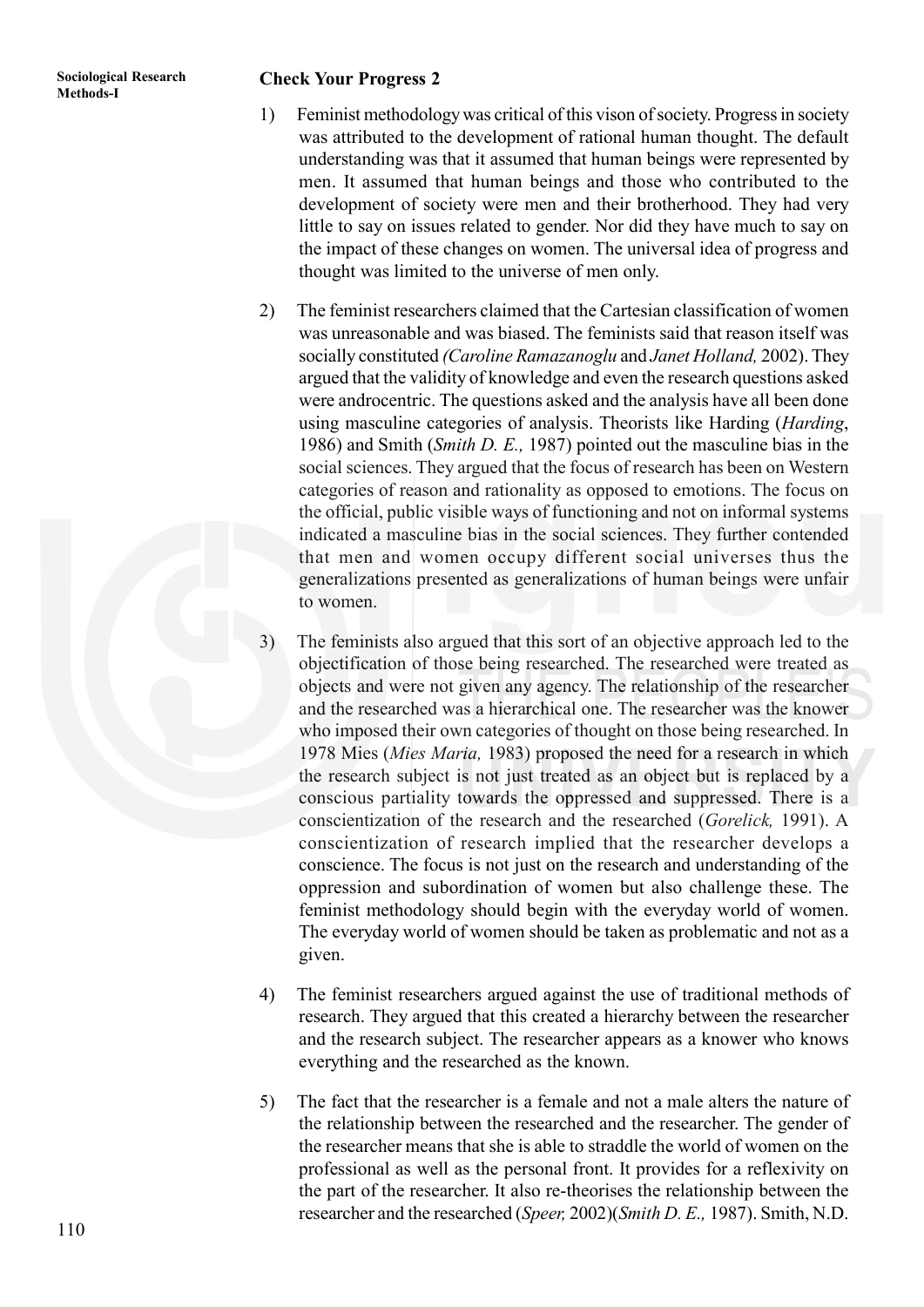## **Methods-I Research Check Your Progress 2**

- 1) Feminist methodology was critical of this vison of society. Progress in society was attributed to the development of rational human thought. The default understanding was that it assumed that human beings were represented by men. It assumed that human beings and those who contributed to the development of society were men and their brotherhood. They had very little to say on issues related to gender. Nor did they have much to say on the impact of these changes on women. The universal idea of progress and thought was limited to the universe of men only.
- 2) The feminist researchers claimed that the Cartesian classification of women was unreasonable and was biased. The feminists said that reason itself was socially constituted *(Caroline Ramazanoglu* and *Janet Holland,* 2002). They argued that the validity of knowledge and even the research questions asked were androcentric. The questions asked and the analysis have all been done using masculine categories of analysis. Theorists like Harding (*Harding*, 1986) and Smith (*Smith D. E.,* 1987) pointed out the masculine bias in the social sciences. They argued that the focus of research has been on Western categories of reason and rationality as opposed to emotions. The focus on the official, public visible ways of functioning and not on informal systems indicated a masculine bias in the social sciences. They further contended that men and women occupy different social universes thus the generalizations presented as generalizations of human beings were unfair to women.
- The feminists also argued that this sort of an objective approach led to the objectification of those being researched. The researched were treated as objects and were not given any agency. The relationship of the researcher and the researched was a hierarchical one. The researcher was the knower who imposed their own categories of thought on those being researched. In 1978 Mies (*Mies Maria,* 1983) proposed the need for a research in which the research subject is not just treated as an object but is replaced by a conscious partiality towards the oppressed and suppressed. There is a conscientization of the research and the researched (*Gorelick,* 1991). A conscientization of research implied that the researcher develops a conscience. The focus is not just on the research and understanding of the oppression and subordination of women but also challenge these. The feminist methodology should begin with the everyday world of women. The everyday world of women should be taken as problematic and not as a given.
- 4) The feminist researchers argued against the use of traditional methods of research. They argued that this created a hierarchy between the researcher and the research subject. The researcher appears as a knower who knows everything and the researched as the known.
- 5) The fact that the researcher is a female and not a male alters the nature of the relationship between the researched and the researcher. The gender of the researcher means that she is able to straddle the world of women on the professional as well as the personal front. It provides for a reflexivity on the part of the researcher. It also re-theorises the relationship between the researcher and the researched (*Speer,* 2002)(*Smith D. E.,* 1987). Smith, N.D.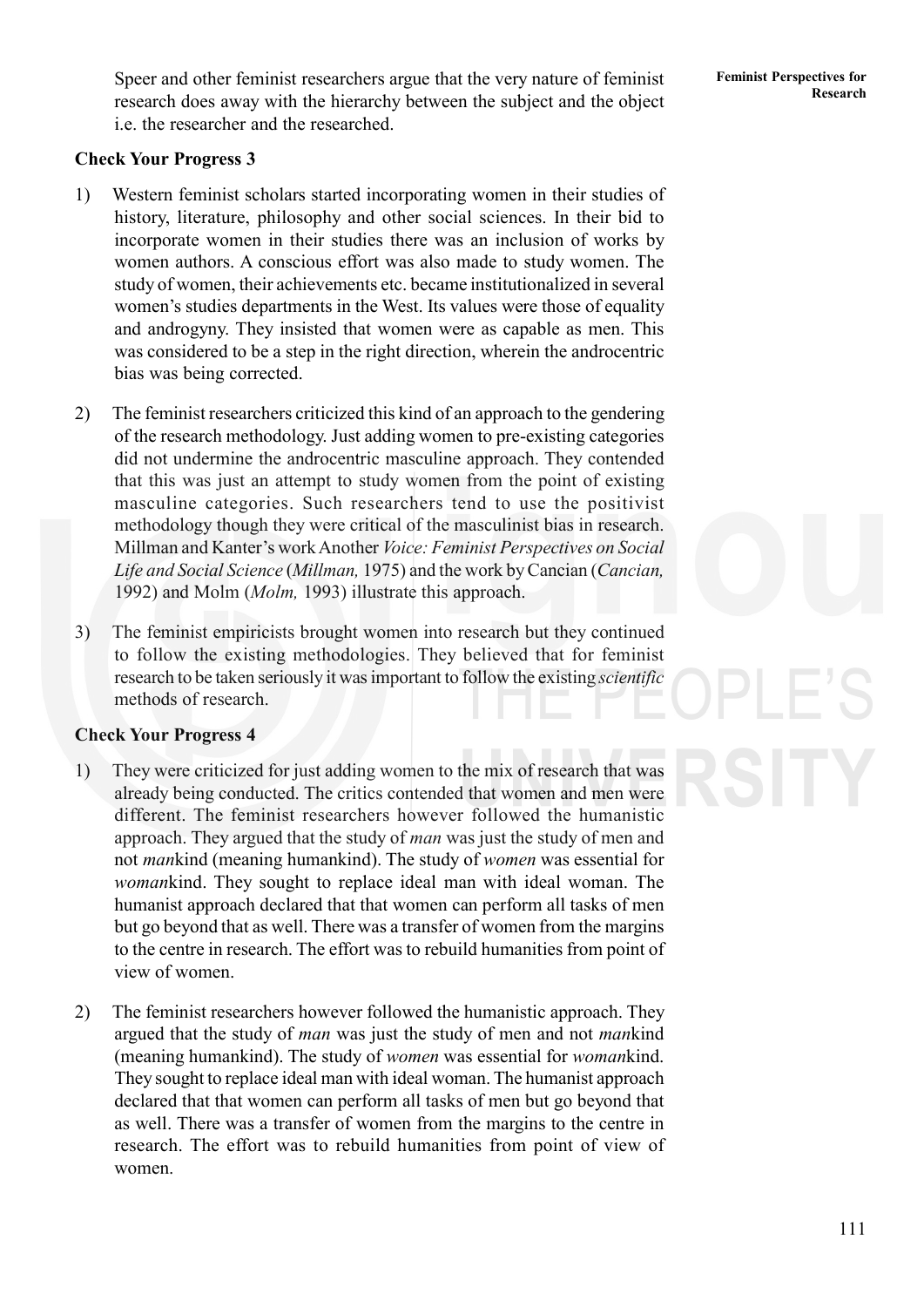**Research Speer and other feminist researchers argue that the very nature of feminist Feminist Perspectives for** research does away with the hierarchy between the subject and the object i.e. the researcher and the researched.

#### **Check Your Progress 3**

- 1) Western feminist scholars started incorporating women in their studies of history, literature, philosophy and other social sciences. In their bid to incorporate women in their studies there was an inclusion of works by women authors. A conscious effort was also made to study women. The study of women, their achievements etc. became institutionalized in several women's studies departments in the West. Its values were those of equality and androgyny. They insisted that women were as capable as men. This was considered to be a step in the right direction, wherein the androcentric bias was being corrected.
- 2) The feminist researchers criticized this kind of an approach to the gendering of the research methodology. Just adding women to pre-existing categories did not undermine the androcentric masculine approach. They contended that this was just an attempt to study women from the point of existing masculine categories. Such researchers tend to use the positivist methodology though they were critical of the masculinist bias in research. Millman and Kanter's work Another *Voice: Feminist Perspectives on Social Life and Social Science* (*Millman,* 1975) and the work by Cancian (*Cancian,* 1992) and Molm (*Molm,* 1993) illustrate this approach.
- 3) The feminist empiricists brought women into research but they continued to follow the existing methodologies. They believed that for feminist research to be taken seriously it was important to follow the existing *scientific* methods of research.

#### **Check Your Progress 4**

- 1) They were criticized for just adding women to the mix of research that was already being conducted. The critics contended that women and men were different. The feminist researchers however followed the humanistic approach. They argued that the study of *man* was just the study of men and not *man*kind (meaning humankind). The study of *women* was essential for *woman*kind. They sought to replace ideal man with ideal woman. The humanist approach declared that that women can perform all tasks of men but go beyond that as well. There was a transfer of women from the margins to the centre in research. The effort was to rebuild humanities from point of view of women.
- 2) The feminist researchers however followed the humanistic approach. They argued that the study of *man* was just the study of men and not *man*kind (meaning humankind). The study of *women* was essential for *woman*kind. They sought to replace ideal man with ideal woman. The humanist approach declared that that women can perform all tasks of men but go beyond that as well. There was a transfer of women from the margins to the centre in research. The effort was to rebuild humanities from point of view of women.

**Feminist Perspectives for**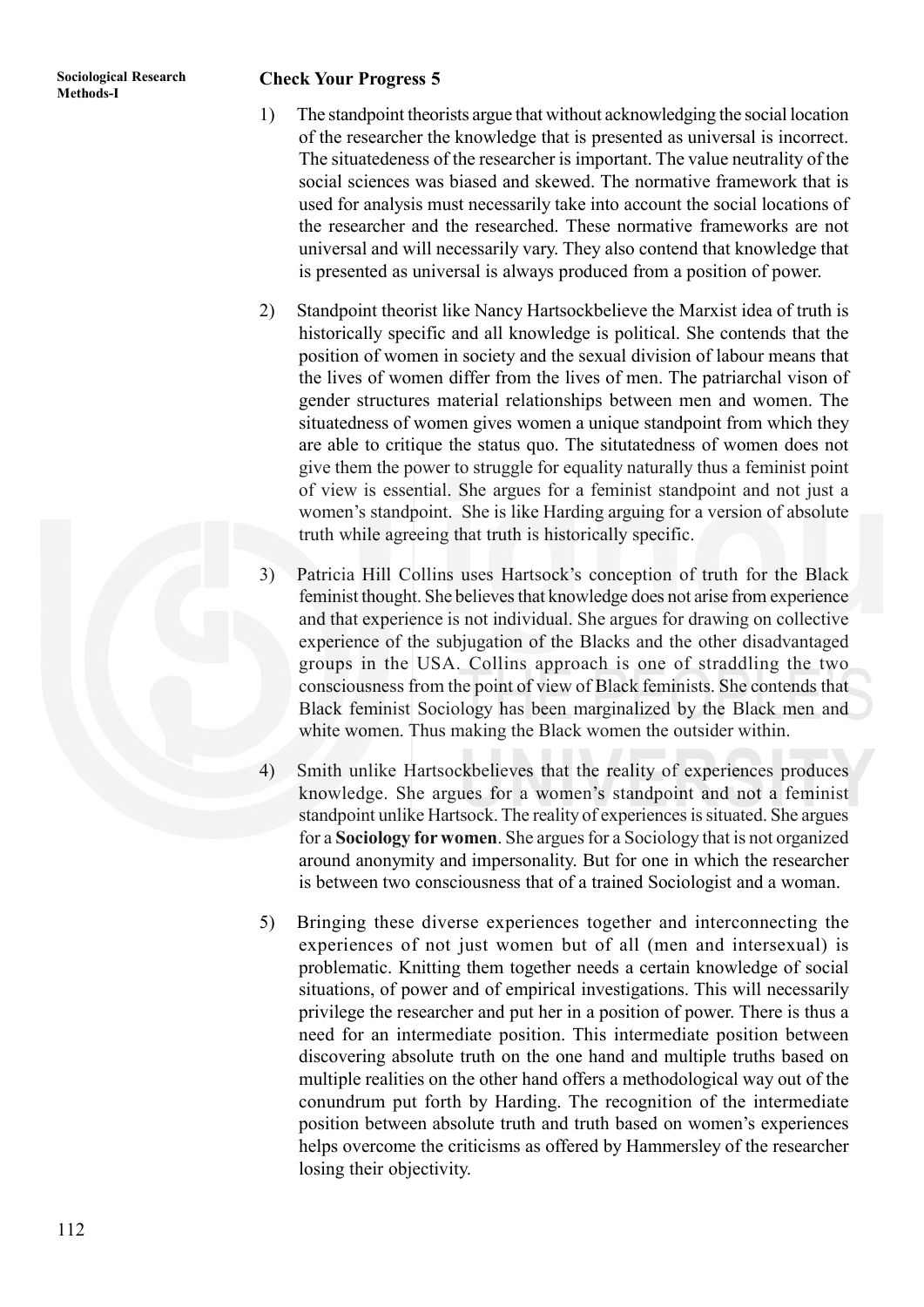## **Methods-I Research Check Your Progress 5**

- 1) The standpoint theorists argue that without acknowledging the social location of the researcher the knowledge that is presented as universal is incorrect. The situatedeness of the researcher is important. The value neutrality of the social sciences was biased and skewed. The normative framework that is used for analysis must necessarily take into account the social locations of the researcher and the researched. These normative frameworks are not universal and will necessarily vary. They also contend that knowledge that is presented as universal is always produced from a position of power.
- 2) Standpoint theorist like Nancy Hartsockbelieve the Marxist idea of truth is historically specific and all knowledge is political. She contends that the position of women in society and the sexual division of labour means that the lives of women differ from the lives of men. The patriarchal vison of gender structures material relationships between men and women. The situatedness of women gives women a unique standpoint from which they are able to critique the status quo. The situtatedness of women does not give them the power to struggle for equality naturally thus a feminist point of view is essential. She argues for a feminist standpoint and not just a women's standpoint. She is like Harding arguing for a version of absolute truth while agreeing that truth is historically specific.
- 3) Patricia Hill Collins uses Hartsock's conception of truth for the Black feminist thought. She believes that knowledge does not arise from experience and that experience is not individual. She argues for drawing on collective experience of the subjugation of the Blacks and the other disadvantaged groups in the USA. Collins approach is one of straddling the two consciousness from the point of view of Black feminists. She contends that Black feminist Sociology has been marginalized by the Black men and white women. Thus making the Black women the outsider within.
- 4) Smith unlike Hartsockbelieves that the reality of experiences produces knowledge. She argues for a women's standpoint and not a feminist standpoint unlike Hartsock. The reality of experiences is situated. She argues for a **Sociology for women**. She argues for a Sociology that is not organized around anonymity and impersonality. But for one in which the researcher is between two consciousness that of a trained Sociologist and a woman.
- 5) Bringing these diverse experiences together and interconnecting the experiences of not just women but of all (men and intersexual) is problematic. Knitting them together needs a certain knowledge of social situations, of power and of empirical investigations. This will necessarily privilege the researcher and put her in a position of power. There is thus a need for an intermediate position. This intermediate position between discovering absolute truth on the one hand and multiple truths based on multiple realities on the other hand offers a methodological way out of the conundrum put forth by Harding. The recognition of the intermediate position between absolute truth and truth based on women's experiences helps overcome the criticisms as offered by Hammersley of the researcher losing their objectivity.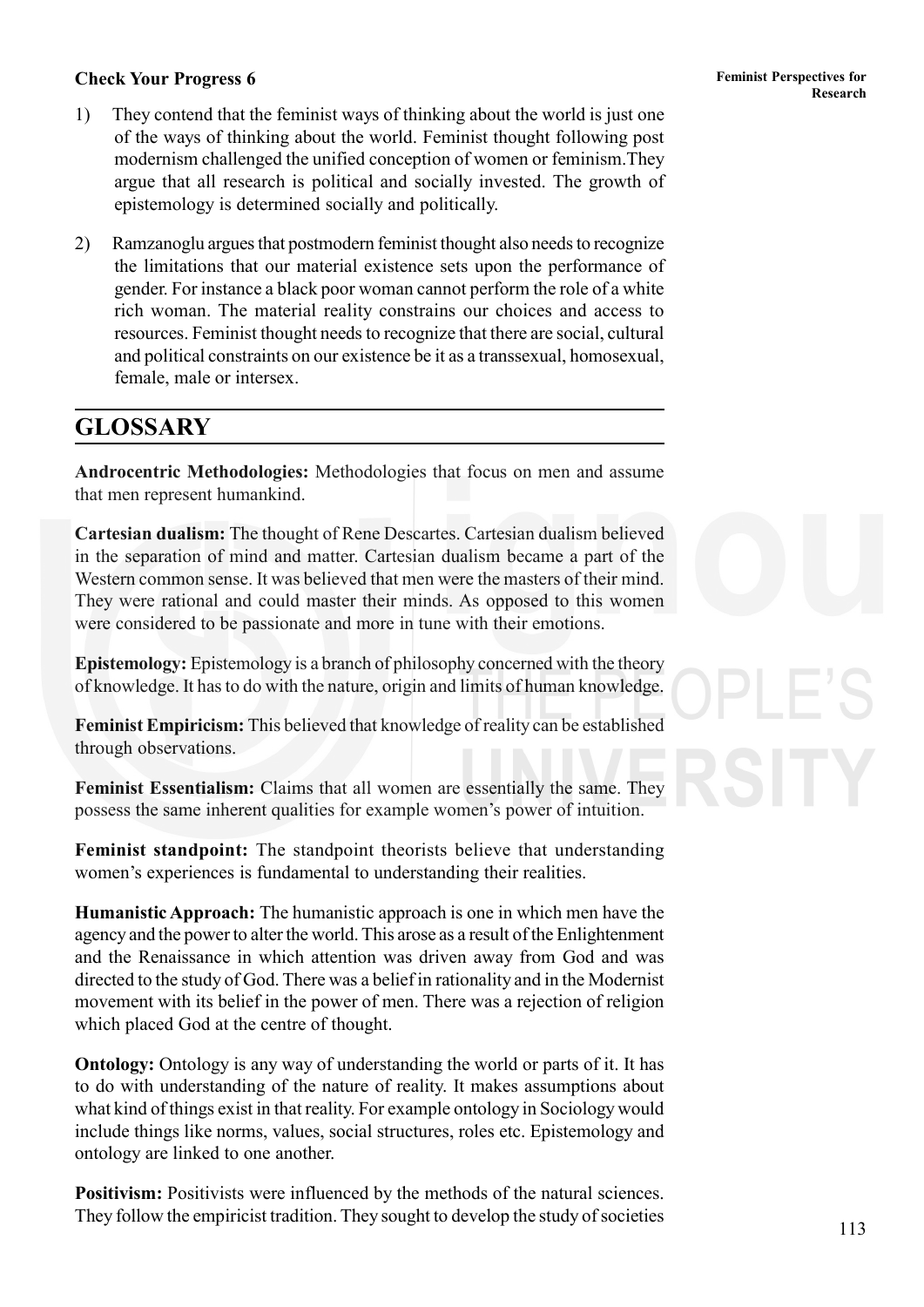- 1) They contend that the feminist ways of thinking about the world is just one of the ways of thinking about the world. Feminist thought following post modernism challenged the unified conception of women or feminism.They argue that all research is political and socially invested. The growth of epistemology is determined socially and politically.
- 2) Ramzanoglu argues that postmodern feminist thought also needs to recognize the limitations that our material existence sets upon the performance of gender. For instance a black poor woman cannot perform the role of a white rich woman. The material reality constrains our choices and access to resources. Feminist thought needs to recognize that there are social, cultural and political constraints on our existence be it as a transsexual, homosexual, female, male or intersex.

## **GLOSSARY**

**Androcentric Methodologies:** Methodologies that focus on men and assume that men represent humankind.

**Cartesian dualism:** The thought of Rene Descartes. Cartesian dualism believed in the separation of mind and matter. Cartesian dualism became a part of the Western common sense. It was believed that men were the masters of their mind. They were rational and could master their minds. As opposed to this women were considered to be passionate and more in tune with their emotions.

**Epistemology:** Epistemology is a branch of philosophy concerned with the theory of knowledge. It has to do with the nature, origin and limits of human knowledge.

**Feminist Empiricism:** This believed that knowledge of reality can be established through observations.

**Feminist Essentialism:** Claims that all women are essentially the same. They possess the same inherent qualities for example women's power of intuition.

**Feminist standpoint:** The standpoint theorists believe that understanding women's experiences is fundamental to understanding their realities.

**Humanistic Approach:** The humanistic approach is one in which men have the agency and the power to alter the world. This arose as a result of the Enlightenment and the Renaissance in which attention was driven away from God and was directed to the study of God. There was a belief in rationality and in the Modernist movement with its belief in the power of men. There was a rejection of religion which placed God at the centre of thought.

**Ontology:** Ontology is any way of understanding the world or parts of it. It has to do with understanding of the nature of reality. It makes assumptions about what kind of things exist in that reality. For example ontology in Sociology would include things like norms, values, social structures, roles etc. Epistemology and ontology are linked to one another.

**Positivism:** Positivists were influenced by the methods of the natural sciences. They follow the empiricist tradition. They sought to develop the study of societies